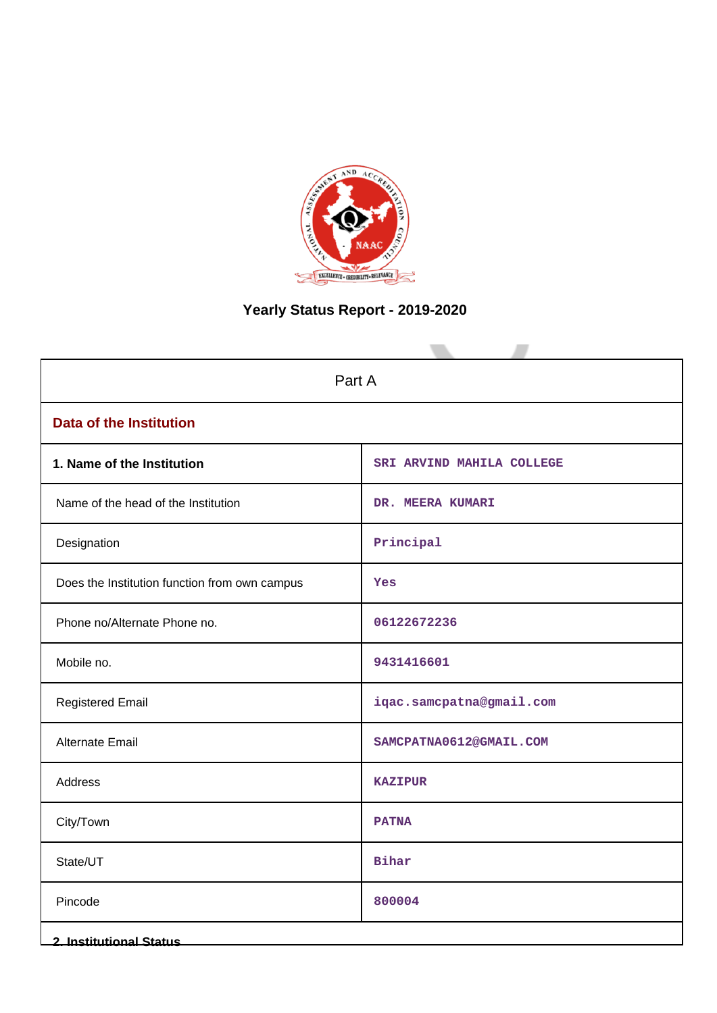

# **Yearly Status Report - 2019-2020**

| Part A                                        |                           |  |  |  |  |
|-----------------------------------------------|---------------------------|--|--|--|--|
| <b>Data of the Institution</b>                |                           |  |  |  |  |
| 1. Name of the Institution                    | SRI ARVIND MAHILA COLLEGE |  |  |  |  |
| Name of the head of the Institution           | DR. MEERA KUMARI          |  |  |  |  |
| Designation                                   | Principal                 |  |  |  |  |
| Does the Institution function from own campus | Yes                       |  |  |  |  |
| Phone no/Alternate Phone no.                  | 06122672236               |  |  |  |  |
| Mobile no.                                    | 9431416601                |  |  |  |  |
| <b>Registered Email</b>                       | iqac.samcpatna@gmail.com  |  |  |  |  |
| Alternate Email                               | SAMCPATNA0612@GMAIL.COM   |  |  |  |  |
| Address                                       | <b>KAZIPUR</b>            |  |  |  |  |
| City/Town                                     | <b>PATNA</b>              |  |  |  |  |
| State/UT                                      | <b>Bihar</b>              |  |  |  |  |
| Pincode                                       | 800004                    |  |  |  |  |
| <b>2. Institutional Status</b>                |                           |  |  |  |  |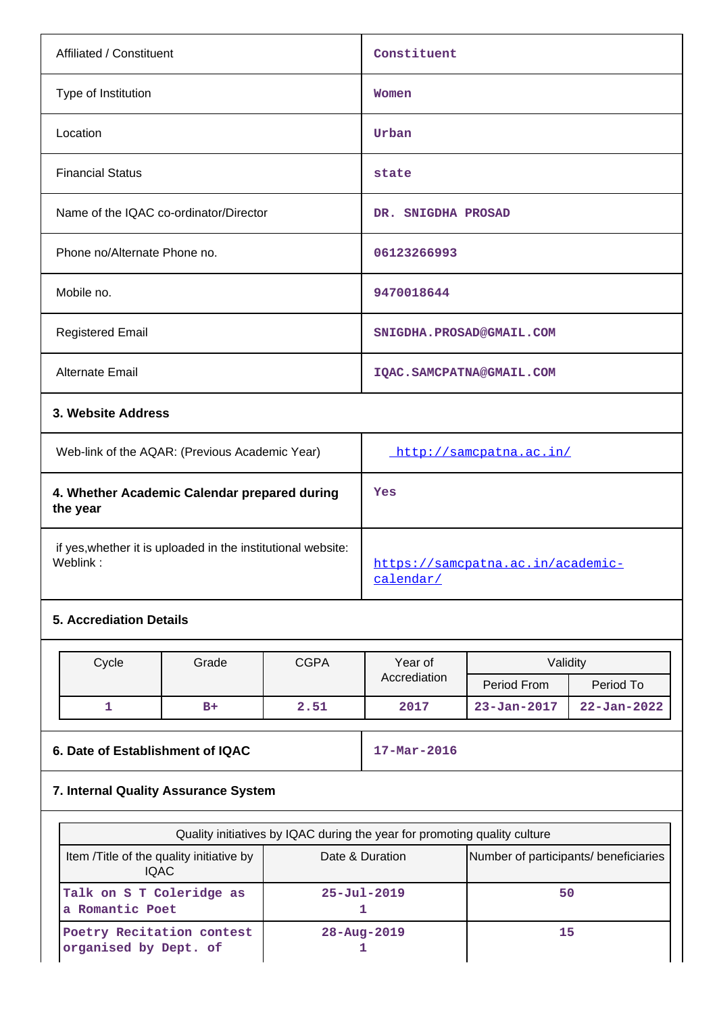| Affiliated / Constituent                                                 | Constituent                                    |
|--------------------------------------------------------------------------|------------------------------------------------|
| Type of Institution                                                      | Women                                          |
| Location                                                                 | Urban                                          |
| <b>Financial Status</b>                                                  | state                                          |
| Name of the IQAC co-ordinator/Director                                   | DR. SNIGDHA PROSAD                             |
| Phone no/Alternate Phone no.                                             | 06123266993                                    |
| Mobile no.                                                               | 9470018644                                     |
| <b>Registered Email</b>                                                  | SNIGDHA.PROSAD@GMAIL.COM                       |
| <b>Alternate Email</b>                                                   | IQAC. SAMCPATNA@GMAIL. COM                     |
| 3. Website Address                                                       |                                                |
| Web-link of the AQAR: (Previous Academic Year)                           | http://samcpatna.ac.in/                        |
| 4. Whether Academic Calendar prepared during<br>the year                 | Yes                                            |
| if yes, whether it is uploaded in the institutional website:<br>Weblink: | https://samcpatna.ac.in/academic-<br>calendar/ |
| <b>5. Accrediation Details</b>                                           |                                                |

| Cycle | Grade | <b>CGPA</b> | Year of      | Validity          |                   |
|-------|-------|-------------|--------------|-------------------|-------------------|
|       |       |             | Accrediation | Period From       | Period To         |
|       | $B+$  | 2.51        | 2017         | $23 - Jan - 2017$ | $22 - Jan - 2022$ |

## **6. Date of Establishment of IQAC** 17-Mar-2016

# **7. Internal Quality Assurance System**

|                                                    | Quality initiatives by IQAC during the year for promoting quality culture |                                       |
|----------------------------------------------------|---------------------------------------------------------------------------|---------------------------------------|
| Item / Title of the quality initiative by<br>IQAC. | Date & Duration                                                           | Number of participants/ beneficiaries |
| Talk on S T Coleridge as<br>a Romantic Poet        | $25 - Ju1 - 2019$                                                         | 50                                    |
| Poetry Recitation contest<br>organised by Dept. of | $28 - Aug - 2019$                                                         | 15                                    |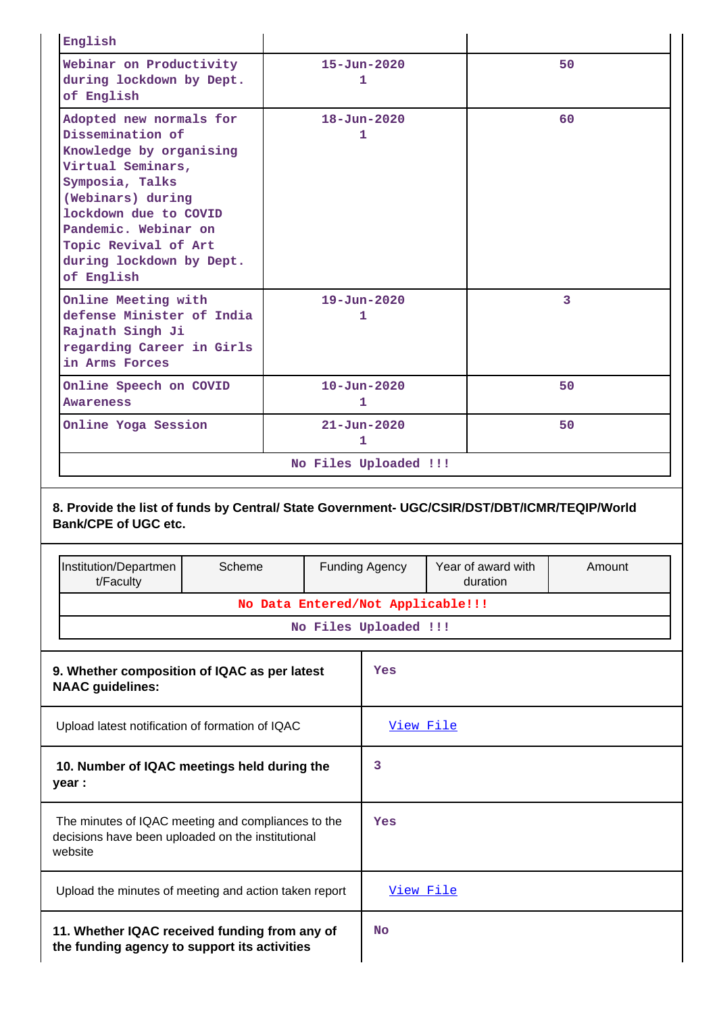| English                                                                                                                                                                                                                                                |        |                                   |                        |  |                                |        |
|--------------------------------------------------------------------------------------------------------------------------------------------------------------------------------------------------------------------------------------------------------|--------|-----------------------------------|------------------------|--|--------------------------------|--------|
| Webinar on Productivity<br>during lockdown by Dept.<br>of English                                                                                                                                                                                      |        | $15 - Jun - 2020$<br>1            |                        |  |                                | 50     |
| Adopted new normals for<br>Dissemination of<br>Knowledge by organising<br>Virtual Seminars,<br>Symposia, Talks<br>(Webinars) during<br>lockdown due to COVID<br>Pandemic. Webinar on<br>Topic Revival of Art<br>during lockdown by Dept.<br>of English |        |                                   | $18 - Jun - 2020$<br>1 |  |                                | 60     |
| Online Meeting with<br>defense Minister of India<br>Rajnath Singh Ji<br>regarding Career in Girls<br>in Arms Forces                                                                                                                                    |        |                                   | $19 - Jun - 2020$<br>1 |  |                                | 3      |
| Online Speech on COVID<br><b>Awareness</b>                                                                                                                                                                                                             |        | $10 - Jun - 2020$<br>1            |                        |  |                                | 50     |
| Online Yoga Session                                                                                                                                                                                                                                    |        |                                   | $21 - Jun - 2020$<br>1 |  |                                | 50     |
|                                                                                                                                                                                                                                                        |        |                                   | No Files Uploaded !!!  |  |                                |        |
| 8. Provide the list of funds by Central/ State Government- UGC/CSIR/DST/DBT/ICMR/TEQIP/World<br><b>Bank/CPE of UGC etc.</b>                                                                                                                            |        |                                   |                        |  |                                |        |
| Institution/Departmen<br>t/Faculty                                                                                                                                                                                                                     | Scheme |                                   | <b>Funding Agency</b>  |  | Year of award with<br>duration | Amount |
|                                                                                                                                                                                                                                                        |        | No Data Entered/Not Applicable!!! |                        |  |                                |        |
|                                                                                                                                                                                                                                                        |        |                                   | No Files Uploaded !!!  |  |                                |        |
| 9. Whether composition of IQAC as per latest<br><b>NAAC</b> guidelines:                                                                                                                                                                                |        |                                   | Yes                    |  |                                |        |
| Upload latest notification of formation of IQAC                                                                                                                                                                                                        |        |                                   | View File              |  |                                |        |
| 10. Number of IQAC meetings held during the<br>year :                                                                                                                                                                                                  |        |                                   | 3                      |  |                                |        |
| The minutes of IQAC meeting and compliances to the<br>decisions have been uploaded on the institutional<br>website                                                                                                                                     |        |                                   | Yes                    |  |                                |        |
| Upload the minutes of meeting and action taken report                                                                                                                                                                                                  |        |                                   | View File              |  |                                |        |

| 11. Whether IQAC received funding from any of |  |
|-----------------------------------------------|--|
| the funding agency to support its activities  |  |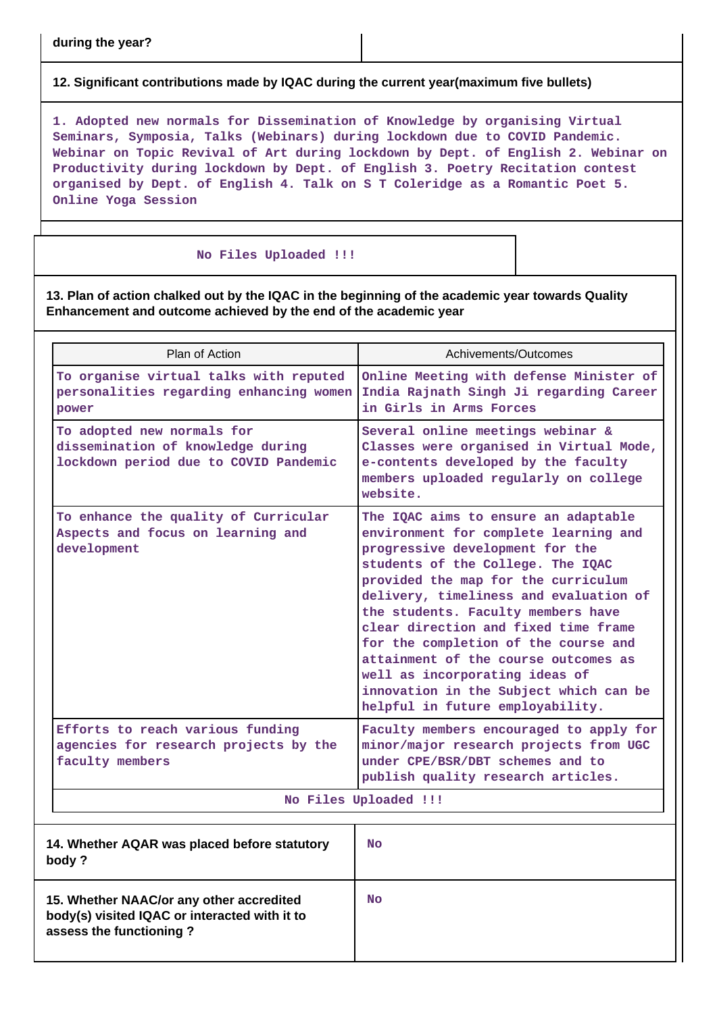**12. Significant contributions made by IQAC during the current year(maximum five bullets)**

**1. Adopted new normals for Dissemination of Knowledge by organising Virtual Seminars, Symposia, Talks (Webinars) during lockdown due to COVID Pandemic. Webinar on Topic Revival of Art during lockdown by Dept. of English 2. Webinar on Productivity during lockdown by Dept. of English 3. Poetry Recitation contest organised by Dept. of English 4. Talk on S T Coleridge as a Romantic Poet 5. Online Yoga Session**

#### **No Files Uploaded !!!**

**13. Plan of action chalked out by the IQAC in the beginning of the academic year towards Quality Enhancement and outcome achieved by the end of the academic year**

| Plan of Action                                                                                                       | Achivements/Outcomes                                                                                                                                                                                                                                                                                                                                                                                                                                                                                                 |
|----------------------------------------------------------------------------------------------------------------------|----------------------------------------------------------------------------------------------------------------------------------------------------------------------------------------------------------------------------------------------------------------------------------------------------------------------------------------------------------------------------------------------------------------------------------------------------------------------------------------------------------------------|
| To organise virtual talks with reputed<br>personalities regarding enhancing women<br>power                           | Online Meeting with defense Minister of<br>India Rajnath Singh Ji regarding Career<br>in Girls in Arms Forces                                                                                                                                                                                                                                                                                                                                                                                                        |
| To adopted new normals for<br>dissemination of knowledge during<br>lockdown period due to COVID Pandemic             | Several online meetings webinar &<br>Classes were organised in Virtual Mode,<br>e-contents developed by the faculty<br>members uploaded regularly on college<br>website.                                                                                                                                                                                                                                                                                                                                             |
| To enhance the quality of Curricular<br>Aspects and focus on learning and<br>development                             | The IQAC aims to ensure an adaptable<br>environment for complete learning and<br>progressive development for the<br>students of the College. The IQAC<br>provided the map for the curriculum<br>delivery, timeliness and evaluation of<br>the students. Faculty members have<br>clear direction and fixed time frame<br>for the completion of the course and<br>attainment of the course outcomes as<br>well as incorporating ideas of<br>innovation in the Subject which can be<br>helpful in future employability. |
| Efforts to reach various funding<br>agencies for research projects by the<br>faculty members                         | Faculty members encouraged to apply for<br>minor/major research projects from UGC<br>under CPE/BSR/DBT schemes and to<br>publish quality research articles.                                                                                                                                                                                                                                                                                                                                                          |
|                                                                                                                      | No Files Uploaded !!!                                                                                                                                                                                                                                                                                                                                                                                                                                                                                                |
| 14. Whether AQAR was placed before statutory<br>body?                                                                | No                                                                                                                                                                                                                                                                                                                                                                                                                                                                                                                   |
| 15. Whether NAAC/or any other accredited<br>body(s) visited IQAC or interacted with it to<br>assess the functioning? | <b>No</b>                                                                                                                                                                                                                                                                                                                                                                                                                                                                                                            |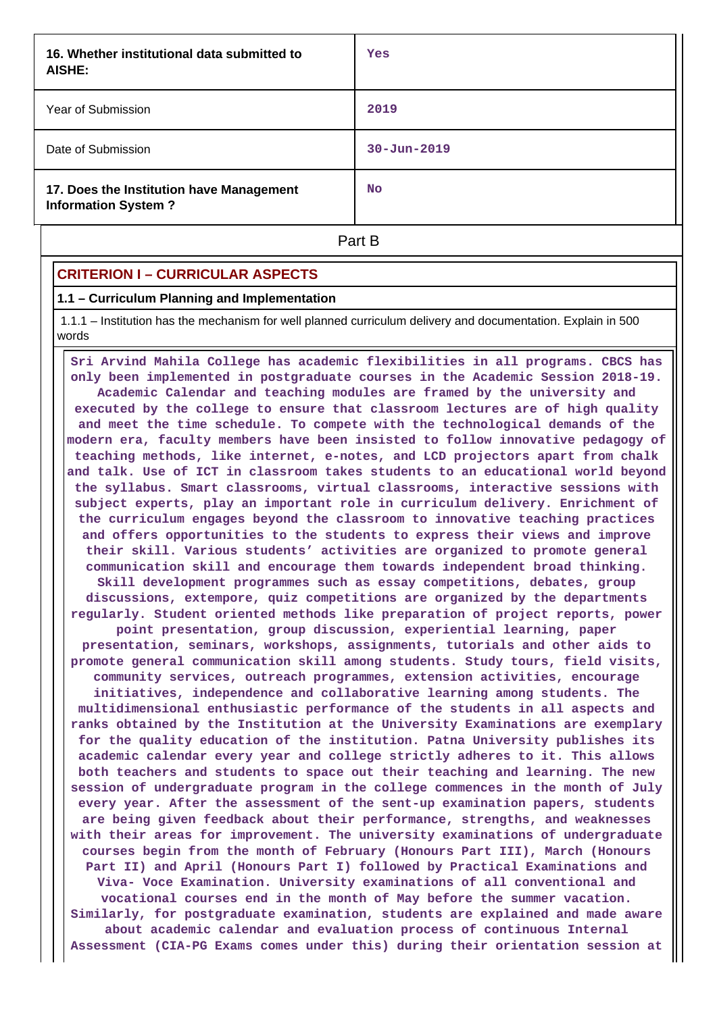| 16. Whether institutional data submitted to<br>AISHE:                  | Yes               |
|------------------------------------------------------------------------|-------------------|
| Year of Submission                                                     | 2019              |
| Date of Submission                                                     | $30 - Jun - 2019$ |
| 17. Does the Institution have Management<br><b>Information System?</b> | <b>No</b>         |
|                                                                        | Part B            |

### **CRITERION I – CURRICULAR ASPECTS**

#### **1.1 – Curriculum Planning and Implementation**

 1.1.1 – Institution has the mechanism for well planned curriculum delivery and documentation. Explain in 500 words

 **Sri Arvind Mahila College has academic flexibilities in all programs. CBCS has only been implemented in postgraduate courses in the Academic Session 2018-19. Academic Calendar and teaching modules are framed by the university and executed by the college to ensure that classroom lectures are of high quality and meet the time schedule. To compete with the technological demands of the modern era, faculty members have been insisted to follow innovative pedagogy of teaching methods, like internet, e-notes, and LCD projectors apart from chalk and talk. Use of ICT in classroom takes students to an educational world beyond the syllabus. Smart classrooms, virtual classrooms, interactive sessions with subject experts, play an important role in curriculum delivery. Enrichment of the curriculum engages beyond the classroom to innovative teaching practices and offers opportunities to the students to express their views and improve their skill. Various students' activities are organized to promote general communication skill and encourage them towards independent broad thinking. Skill development programmes such as essay competitions, debates, group discussions, extempore, quiz competitions are organized by the departments regularly. Student oriented methods like preparation of project reports, power point presentation, group discussion, experiential learning, paper presentation, seminars, workshops, assignments, tutorials and other aids to promote general communication skill among students. Study tours, field visits, community services, outreach programmes, extension activities, encourage initiatives, independence and collaborative learning among students. The multidimensional enthusiastic performance of the students in all aspects and ranks obtained by the Institution at the University Examinations are exemplary for the quality education of the institution. Patna University publishes its academic calendar every year and college strictly adheres to it. This allows both teachers and students to space out their teaching and learning. The new session of undergraduate program in the college commences in the month of July every year. After the assessment of the sent-up examination papers, students are being given feedback about their performance, strengths, and weaknesses with their areas for improvement. The university examinations of undergraduate courses begin from the month of February (Honours Part III), March (Honours Part II) and April (Honours Part I) followed by Practical Examinations and Viva- Voce Examination. University examinations of all conventional and vocational courses end in the month of May before the summer vacation. Similarly, for postgraduate examination, students are explained and made aware about academic calendar and evaluation process of continuous Internal Assessment (CIA-PG Exams comes under this) during their orientation session at**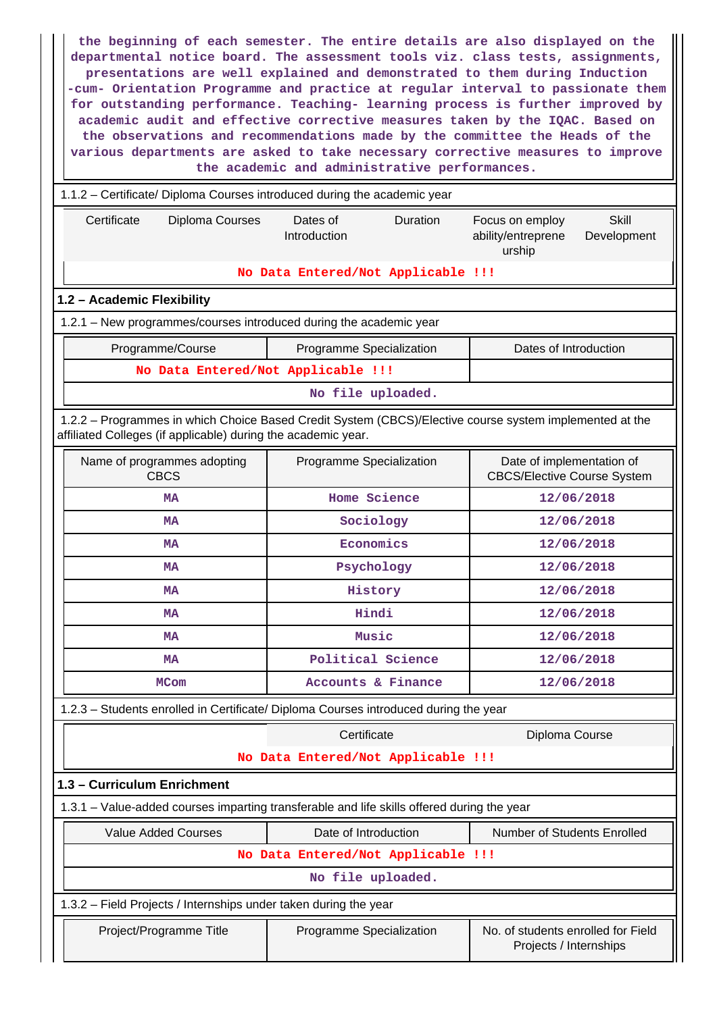**the beginning of each semester. The entire details are also displayed on the departmental notice board. The assessment tools viz. class tests, assignments, presentations are well explained and demonstrated to them during Induction -cum- Orientation Programme and practice at regular interval to passionate them for outstanding performance. Teaching- learning process is further improved by academic audit and effective corrective measures taken by the IQAC. Based on the observations and recommendations made by the committee the Heads of the various departments are asked to take necessary corrective measures to improve the academic and administrative performances.**

### 1.1.2 – Certificate/ Diploma Courses introduced during the academic year

| Certificate<br><b>Diploma Courses</b>                                                                                                                                    | Dates of<br>Duration<br>Introduction                | <b>Skill</b><br>Focus on employ<br>ability/entreprene<br>Development<br>urship |  |  |
|--------------------------------------------------------------------------------------------------------------------------------------------------------------------------|-----------------------------------------------------|--------------------------------------------------------------------------------|--|--|
|                                                                                                                                                                          | No Data Entered/Not Applicable !!!                  |                                                                                |  |  |
| 1.2 - Academic Flexibility                                                                                                                                               |                                                     |                                                                                |  |  |
| 1.2.1 - New programmes/courses introduced during the academic year                                                                                                       |                                                     |                                                                                |  |  |
| Programme/Course                                                                                                                                                         | Programme Specialization                            | Dates of Introduction                                                          |  |  |
| No Data Entered/Not Applicable !!!                                                                                                                                       |                                                     |                                                                                |  |  |
|                                                                                                                                                                          | No file uploaded.                                   |                                                                                |  |  |
| 1.2.2 - Programmes in which Choice Based Credit System (CBCS)/Elective course system implemented at the<br>affiliated Colleges (if applicable) during the academic year. |                                                     |                                                                                |  |  |
| Name of programmes adopting<br><b>CBCS</b>                                                                                                                               | Programme Specialization                            | Date of implementation of<br><b>CBCS/Elective Course System</b>                |  |  |
| MA                                                                                                                                                                       | Home Science                                        | 12/06/2018                                                                     |  |  |
| MA                                                                                                                                                                       | Sociology                                           | 12/06/2018                                                                     |  |  |
| <b>MA</b>                                                                                                                                                                | Economics                                           | 12/06/2018                                                                     |  |  |
| MA                                                                                                                                                                       | Psychology                                          | 12/06/2018                                                                     |  |  |
| <b>MA</b>                                                                                                                                                                | History                                             | 12/06/2018                                                                     |  |  |
| MA                                                                                                                                                                       | Hindi                                               | 12/06/2018                                                                     |  |  |
| MA                                                                                                                                                                       | Music                                               | 12/06/2018                                                                     |  |  |
| <b>MA</b>                                                                                                                                                                | Political Science<br>12/06/2018                     |                                                                                |  |  |
| <b>MCom</b>                                                                                                                                                              | Accounts & Finance                                  | 12/06/2018                                                                     |  |  |
| 1.2.3 - Students enrolled in Certificate/ Diploma Courses introduced during the year                                                                                     |                                                     |                                                                                |  |  |
| Certificate<br>Diploma Course                                                                                                                                            |                                                     |                                                                                |  |  |
|                                                                                                                                                                          | No Data Entered/Not Applicable !!!                  |                                                                                |  |  |
| 1.3 - Curriculum Enrichment                                                                                                                                              |                                                     |                                                                                |  |  |
| 1.3.1 – Value-added courses imparting transferable and life skills offered during the year                                                                               |                                                     |                                                                                |  |  |
| <b>Value Added Courses</b>                                                                                                                                               | Date of Introduction<br>Number of Students Enrolled |                                                                                |  |  |
| No Data Entered/Not Applicable !!!                                                                                                                                       |                                                     |                                                                                |  |  |
|                                                                                                                                                                          | No file uploaded.                                   |                                                                                |  |  |
| 1.3.2 - Field Projects / Internships under taken during the year                                                                                                         |                                                     |                                                                                |  |  |
| Project/Programme Title                                                                                                                                                  | Programme Specialization                            | No. of students enrolled for Field<br>Projects / Internships                   |  |  |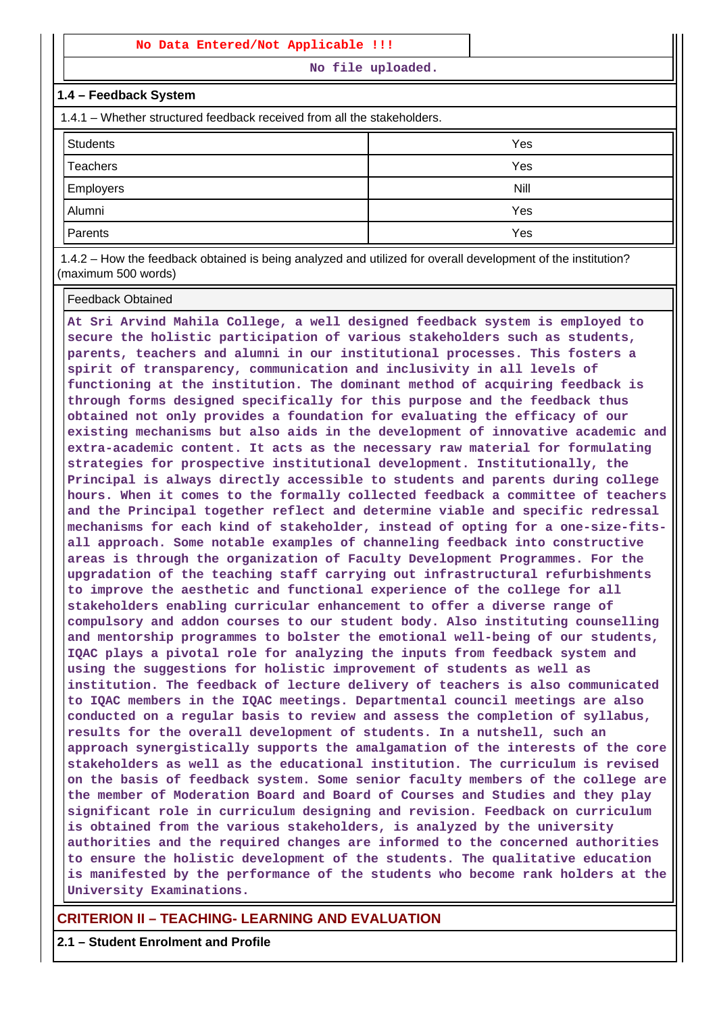### **No Data Entered/Not Applicable !!!**

**No file uploaded.**

#### **1.4 – Feedback System**

1.4.1 – Whether structured feedback received from all the stakeholders.

| Students         | Yes  |
|------------------|------|
| Teachers         | Yes  |
| <b>Employers</b> | Nill |
| Alumni           | Yes  |
| Parents          | Yes  |

 1.4.2 – How the feedback obtained is being analyzed and utilized for overall development of the institution? (maximum 500 words)

#### Feedback Obtained

**At Sri Arvind Mahila College, a well designed feedback system is employed to secure the holistic participation of various stakeholders such as students, parents, teachers and alumni in our institutional processes. This fosters a spirit of transparency, communication and inclusivity in all levels of functioning at the institution. The dominant method of acquiring feedback is through forms designed specifically for this purpose and the feedback thus obtained not only provides a foundation for evaluating the efficacy of our existing mechanisms but also aids in the development of innovative academic and extra-academic content. It acts as the necessary raw material for formulating strategies for prospective institutional development. Institutionally, the Principal is always directly accessible to students and parents during college hours. When it comes to the formally collected feedback a committee of teachers and the Principal together reflect and determine viable and specific redressal mechanisms for each kind of stakeholder, instead of opting for a one-size-fitsall approach. Some notable examples of channeling feedback into constructive areas is through the organization of Faculty Development Programmes. For the upgradation of the teaching staff carrying out infrastructural refurbishments to improve the aesthetic and functional experience of the college for all stakeholders enabling curricular enhancement to offer a diverse range of compulsory and addon courses to our student body. Also instituting counselling and mentorship programmes to bolster the emotional well-being of our students, IQAC plays a pivotal role for analyzing the inputs from feedback system and using the suggestions for holistic improvement of students as well as institution. The feedback of lecture delivery of teachers is also communicated to IQAC members in the IQAC meetings. Departmental council meetings are also conducted on a regular basis to review and assess the completion of syllabus, results for the overall development of students. In a nutshell, such an approach synergistically supports the amalgamation of the interests of the core stakeholders as well as the educational institution. The curriculum is revised on the basis of feedback system. Some senior faculty members of the college are the member of Moderation Board and Board of Courses and Studies and they play significant role in curriculum designing and revision. Feedback on curriculum is obtained from the various stakeholders, is analyzed by the university authorities and the required changes are informed to the concerned authorities to ensure the holistic development of the students. The qualitative education is manifested by the performance of the students who become rank holders at the University Examinations.**

### **CRITERION II – TEACHING- LEARNING AND EVALUATION**

**2.1 – Student Enrolment and Profile**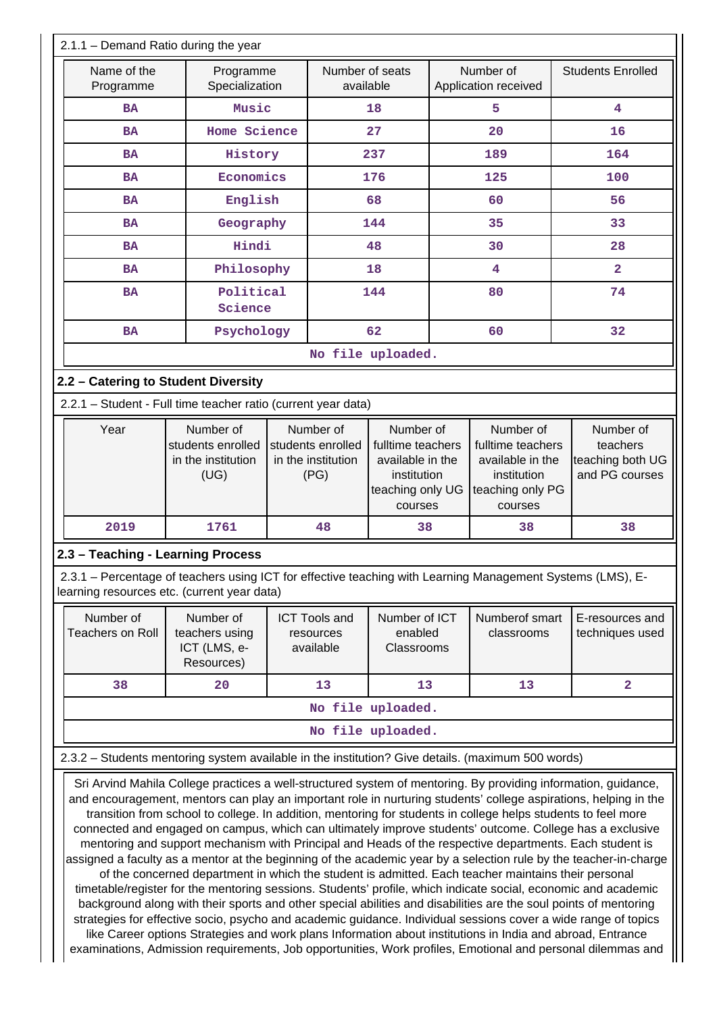| 2.1.1 - Demand Ratio during the year                                                                                                                                                                                                                                                                                                                                                                                                                                                                                                                                                                                                                                                                                                                                                                                                                                                                                                                                                                                                                                                                                                                                                                                                                                                                                                                                                        |                                                              |    |                                                                                                                                                                  |                   |  |                                                                                                  |                                                             |
|---------------------------------------------------------------------------------------------------------------------------------------------------------------------------------------------------------------------------------------------------------------------------------------------------------------------------------------------------------------------------------------------------------------------------------------------------------------------------------------------------------------------------------------------------------------------------------------------------------------------------------------------------------------------------------------------------------------------------------------------------------------------------------------------------------------------------------------------------------------------------------------------------------------------------------------------------------------------------------------------------------------------------------------------------------------------------------------------------------------------------------------------------------------------------------------------------------------------------------------------------------------------------------------------------------------------------------------------------------------------------------------------|--------------------------------------------------------------|----|------------------------------------------------------------------------------------------------------------------------------------------------------------------|-------------------|--|--------------------------------------------------------------------------------------------------|-------------------------------------------------------------|
| Name of the<br>Programme                                                                                                                                                                                                                                                                                                                                                                                                                                                                                                                                                                                                                                                                                                                                                                                                                                                                                                                                                                                                                                                                                                                                                                                                                                                                                                                                                                    | Programme<br>Specialization                                  |    | Number of seats<br>available                                                                                                                                     |                   |  | Number of<br>Application received                                                                | <b>Students Enrolled</b>                                    |
| <b>BA</b>                                                                                                                                                                                                                                                                                                                                                                                                                                                                                                                                                                                                                                                                                                                                                                                                                                                                                                                                                                                                                                                                                                                                                                                                                                                                                                                                                                                   | Music                                                        | 18 |                                                                                                                                                                  | 5                 |  | 4                                                                                                |                                                             |
| <b>BA</b>                                                                                                                                                                                                                                                                                                                                                                                                                                                                                                                                                                                                                                                                                                                                                                                                                                                                                                                                                                                                                                                                                                                                                                                                                                                                                                                                                                                   | Home Science                                                 |    |                                                                                                                                                                  | 27                |  | 20                                                                                               | 16                                                          |
| <b>BA</b>                                                                                                                                                                                                                                                                                                                                                                                                                                                                                                                                                                                                                                                                                                                                                                                                                                                                                                                                                                                                                                                                                                                                                                                                                                                                                                                                                                                   | History                                                      |    |                                                                                                                                                                  | 237               |  | 189                                                                                              | 164                                                         |
| <b>BA</b>                                                                                                                                                                                                                                                                                                                                                                                                                                                                                                                                                                                                                                                                                                                                                                                                                                                                                                                                                                                                                                                                                                                                                                                                                                                                                                                                                                                   | Economics                                                    |    |                                                                                                                                                                  | 176               |  | 125                                                                                              | 100                                                         |
| <b>BA</b>                                                                                                                                                                                                                                                                                                                                                                                                                                                                                                                                                                                                                                                                                                                                                                                                                                                                                                                                                                                                                                                                                                                                                                                                                                                                                                                                                                                   | English                                                      |    |                                                                                                                                                                  | 68                |  | 60                                                                                               | 56                                                          |
| <b>BA</b>                                                                                                                                                                                                                                                                                                                                                                                                                                                                                                                                                                                                                                                                                                                                                                                                                                                                                                                                                                                                                                                                                                                                                                                                                                                                                                                                                                                   | Geography                                                    |    |                                                                                                                                                                  | 144               |  | 35                                                                                               | 33                                                          |
| <b>BA</b>                                                                                                                                                                                                                                                                                                                                                                                                                                                                                                                                                                                                                                                                                                                                                                                                                                                                                                                                                                                                                                                                                                                                                                                                                                                                                                                                                                                   | Hindi                                                        |    |                                                                                                                                                                  | 48                |  | 30                                                                                               | 28                                                          |
| <b>BA</b>                                                                                                                                                                                                                                                                                                                                                                                                                                                                                                                                                                                                                                                                                                                                                                                                                                                                                                                                                                                                                                                                                                                                                                                                                                                                                                                                                                                   | Philosophy                                                   |    |                                                                                                                                                                  | 18                |  | $\overline{\mathbf{4}}$                                                                          | $\overline{2}$                                              |
| <b>BA</b>                                                                                                                                                                                                                                                                                                                                                                                                                                                                                                                                                                                                                                                                                                                                                                                                                                                                                                                                                                                                                                                                                                                                                                                                                                                                                                                                                                                   | Political<br>Science                                         |    |                                                                                                                                                                  | 144               |  | 80                                                                                               | 74                                                          |
| <b>BA</b>                                                                                                                                                                                                                                                                                                                                                                                                                                                                                                                                                                                                                                                                                                                                                                                                                                                                                                                                                                                                                                                                                                                                                                                                                                                                                                                                                                                   | Psychology                                                   |    |                                                                                                                                                                  | 62                |  | 60                                                                                               | 32                                                          |
|                                                                                                                                                                                                                                                                                                                                                                                                                                                                                                                                                                                                                                                                                                                                                                                                                                                                                                                                                                                                                                                                                                                                                                                                                                                                                                                                                                                             |                                                              |    |                                                                                                                                                                  | No file uploaded. |  |                                                                                                  |                                                             |
| 2.2 - Catering to Student Diversity                                                                                                                                                                                                                                                                                                                                                                                                                                                                                                                                                                                                                                                                                                                                                                                                                                                                                                                                                                                                                                                                                                                                                                                                                                                                                                                                                         |                                                              |    |                                                                                                                                                                  |                   |  |                                                                                                  |                                                             |
| 2.2.1 - Student - Full time teacher ratio (current year data)                                                                                                                                                                                                                                                                                                                                                                                                                                                                                                                                                                                                                                                                                                                                                                                                                                                                                                                                                                                                                                                                                                                                                                                                                                                                                                                               |                                                              |    |                                                                                                                                                                  |                   |  |                                                                                                  |                                                             |
| Year                                                                                                                                                                                                                                                                                                                                                                                                                                                                                                                                                                                                                                                                                                                                                                                                                                                                                                                                                                                                                                                                                                                                                                                                                                                                                                                                                                                        | Number of<br>students enrolled<br>in the institution<br>(UG) |    | Number of<br>Number of<br>students enrolled<br>fulltime teachers<br>in the institution<br>available in the<br>(PG)<br>institution<br>teaching only UG<br>courses |                   |  | Number of<br>fulltime teachers<br>available in the<br>institution<br>teaching only PG<br>courses | Number of<br>teachers<br>teaching both UG<br>and PG courses |
| 2019                                                                                                                                                                                                                                                                                                                                                                                                                                                                                                                                                                                                                                                                                                                                                                                                                                                                                                                                                                                                                                                                                                                                                                                                                                                                                                                                                                                        | 1761                                                         |    | 48                                                                                                                                                               | 38                |  | 38                                                                                               | 38                                                          |
| 2.3 - Teaching - Learning Process                                                                                                                                                                                                                                                                                                                                                                                                                                                                                                                                                                                                                                                                                                                                                                                                                                                                                                                                                                                                                                                                                                                                                                                                                                                                                                                                                           |                                                              |    |                                                                                                                                                                  |                   |  |                                                                                                  |                                                             |
| 2.3.1 – Percentage of teachers using ICT for effective teaching with Learning Management Systems (LMS), E-<br>learning resources etc. (current year data)                                                                                                                                                                                                                                                                                                                                                                                                                                                                                                                                                                                                                                                                                                                                                                                                                                                                                                                                                                                                                                                                                                                                                                                                                                   |                                                              |    |                                                                                                                                                                  |                   |  |                                                                                                  |                                                             |
| Number of<br><b>Teachers on Roll</b>                                                                                                                                                                                                                                                                                                                                                                                                                                                                                                                                                                                                                                                                                                                                                                                                                                                                                                                                                                                                                                                                                                                                                                                                                                                                                                                                                        | Number of<br>teachers using<br>ICT (LMS, e-<br>Resources)    |    | Number of ICT<br><b>ICT Tools and</b><br>enabled<br>resources<br>Classrooms<br>available                                                                         |                   |  | Numberof smart<br>classrooms                                                                     | E-resources and<br>techniques used                          |
| 38                                                                                                                                                                                                                                                                                                                                                                                                                                                                                                                                                                                                                                                                                                                                                                                                                                                                                                                                                                                                                                                                                                                                                                                                                                                                                                                                                                                          | 20                                                           |    | 13                                                                                                                                                               | 13                |  | 13                                                                                               | $\mathbf{2}$                                                |
|                                                                                                                                                                                                                                                                                                                                                                                                                                                                                                                                                                                                                                                                                                                                                                                                                                                                                                                                                                                                                                                                                                                                                                                                                                                                                                                                                                                             |                                                              |    |                                                                                                                                                                  | No file uploaded. |  |                                                                                                  |                                                             |
|                                                                                                                                                                                                                                                                                                                                                                                                                                                                                                                                                                                                                                                                                                                                                                                                                                                                                                                                                                                                                                                                                                                                                                                                                                                                                                                                                                                             |                                                              |    |                                                                                                                                                                  | No file uploaded. |  |                                                                                                  |                                                             |
| 2.3.2 - Students mentoring system available in the institution? Give details. (maximum 500 words)                                                                                                                                                                                                                                                                                                                                                                                                                                                                                                                                                                                                                                                                                                                                                                                                                                                                                                                                                                                                                                                                                                                                                                                                                                                                                           |                                                              |    |                                                                                                                                                                  |                   |  |                                                                                                  |                                                             |
| Sri Arvind Mahila College practices a well-structured system of mentoring. By providing information, guidance,<br>and encouragement, mentors can play an important role in nurturing students' college aspirations, helping in the<br>transition from school to college. In addition, mentoring for students in college helps students to feel more<br>connected and engaged on campus, which can ultimately improve students' outcome. College has a exclusive<br>mentoring and support mechanism with Principal and Heads of the respective departments. Each student is<br>assigned a faculty as a mentor at the beginning of the academic year by a selection rule by the teacher-in-charge<br>of the concerned department in which the student is admitted. Each teacher maintains their personal<br>timetable/register for the mentoring sessions. Students' profile, which indicate social, economic and academic<br>background along with their sports and other special abilities and disabilities are the soul points of mentoring<br>strategies for effective socio, psycho and academic guidance. Individual sessions cover a wide range of topics<br>like Career options Strategies and work plans Information about institutions in India and abroad, Entrance<br>examinations, Admission requirements, Job opportunities, Work profiles, Emotional and personal dilemmas and |                                                              |    |                                                                                                                                                                  |                   |  |                                                                                                  |                                                             |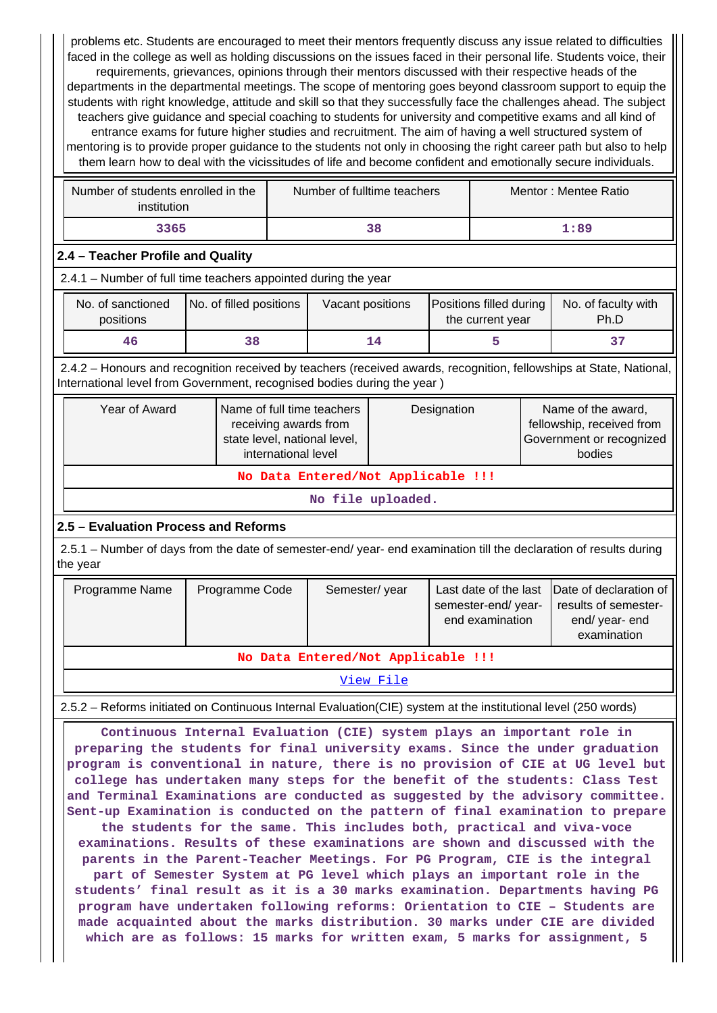problems etc. Students are encouraged to meet their mentors frequently discuss any issue related to difficulties faced in the college as well as holding discussions on the issues faced in their personal life. Students voice, their requirements, grievances, opinions through their mentors discussed with their respective heads of the departments in the departmental meetings. The scope of mentoring goes beyond classroom support to equip the students with right knowledge, attitude and skill so that they successfully face the challenges ahead. The subject teachers give guidance and special coaching to students for university and competitive exams and all kind of entrance exams for future higher studies and recruitment. The aim of having a well structured system of mentoring is to provide proper guidance to the students not only in choosing the right career path but also to help them learn how to deal with the vicissitudes of life and become confident and emotionally secure individuals.

| Number of students enrolled in the<br>institution | Number of fulltime teachers | Mentor: Mentee Ratio |
|---------------------------------------------------|-----------------------------|----------------------|
| 3365                                              | 38                          | 1:89                 |

### **2.4 – Teacher Profile and Quality**

2.4.1 – Number of full time teachers appointed during the year

| No. of sanctioned<br>positions | No. of filled positions | Vacant positions | Positions filled during<br>the current year | No. of faculty with<br>Ph.D |
|--------------------------------|-------------------------|------------------|---------------------------------------------|-----------------------------|
| 46                             |                         | 14               |                                             |                             |

 2.4.2 – Honours and recognition received by teachers (received awards, recognition, fellowships at State, National, International level from Government, recognised bodies during the year )

| Year of Award                      | Name of full time teachers<br>receiving awards from<br>state level, national level,<br>international level | Designation | Name of the award,<br>fellowship, received from<br>Government or recognized<br>bodies |  |  |  |
|------------------------------------|------------------------------------------------------------------------------------------------------------|-------------|---------------------------------------------------------------------------------------|--|--|--|
| No Data Entered/Not Applicable !!! |                                                                                                            |             |                                                                                       |  |  |  |

**No file uploaded.**

### **2.5 – Evaluation Process and Reforms**

 2.5.1 – Number of days from the date of semester-end/ year- end examination till the declaration of results during the year

| Programme Code<br>Programme Name   |  | Semester/year | semester-end/year-<br>end examination | Last date of the last Date of declaration of<br>results of semester-<br>end/year-end<br>examination |  |  |  |  |
|------------------------------------|--|---------------|---------------------------------------|-----------------------------------------------------------------------------------------------------|--|--|--|--|
| No Data Entered/Not Applicable !!! |  |               |                                       |                                                                                                     |  |  |  |  |
| View File                          |  |               |                                       |                                                                                                     |  |  |  |  |

2.5.2 – Reforms initiated on Continuous Internal Evaluation(CIE) system at the institutional level (250 words)

 **Continuous Internal Evaluation (CIE) system plays an important role in preparing the students for final university exams. Since the under graduation program is conventional in nature, there is no provision of CIE at UG level but college has undertaken many steps for the benefit of the students: Class Test and Terminal Examinations are conducted as suggested by the advisory committee. Sent-up Examination is conducted on the pattern of final examination to prepare the students for the same. This includes both, practical and viva-voce examinations. Results of these examinations are shown and discussed with the parents in the Parent-Teacher Meetings. For PG Program, CIE is the integral part of Semester System at PG level which plays an important role in the students' final result as it is a 30 marks examination. Departments having PG program have undertaken following reforms: Orientation to CIE – Students are made acquainted about the marks distribution. 30 marks under CIE are divided which are as follows: 15 marks for written exam, 5 marks for assignment, 5**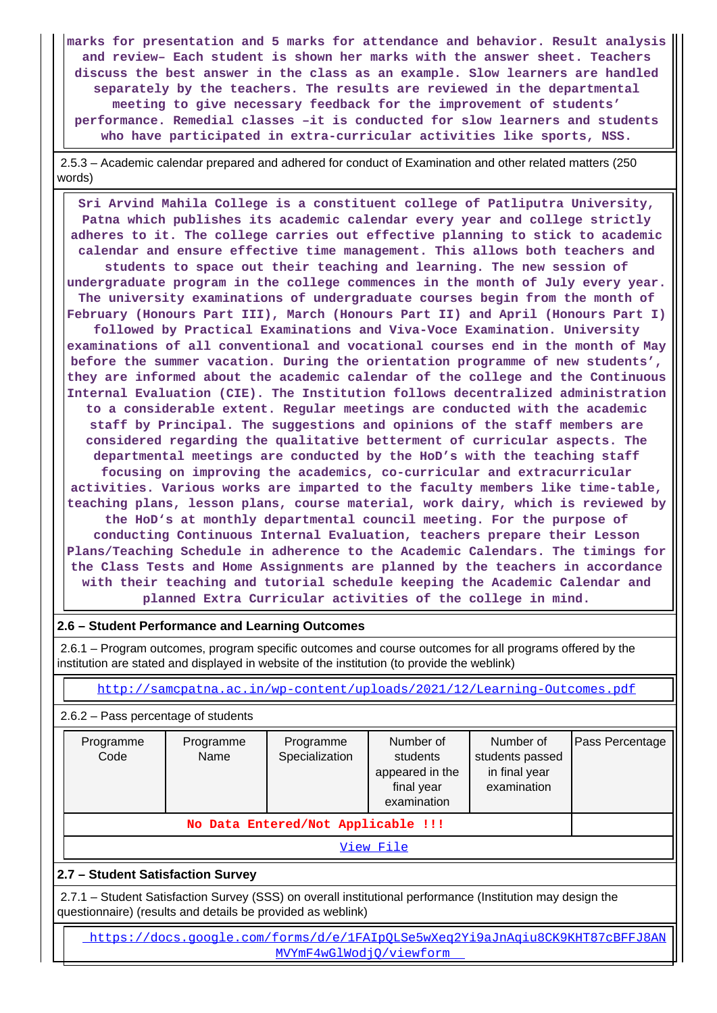**marks for presentation and 5 marks for attendance and behavior. Result analysis and review– Each student is shown her marks with the answer sheet. Teachers discuss the best answer in the class as an example. Slow learners are handled separately by the teachers. The results are reviewed in the departmental meeting to give necessary feedback for the improvement of students' performance. Remedial classes –it is conducted for slow learners and students who have participated in extra-curricular activities like sports, NSS.**

 2.5.3 – Academic calendar prepared and adhered for conduct of Examination and other related matters (250 words)

 **Sri Arvind Mahila College is a constituent college of Patliputra University, Patna which publishes its academic calendar every year and college strictly adheres to it. The college carries out effective planning to stick to academic calendar and ensure effective time management. This allows both teachers and students to space out their teaching and learning. The new session of undergraduate program in the college commences in the month of July every year. The university examinations of undergraduate courses begin from the month of February (Honours Part III), March (Honours Part II) and April (Honours Part I) followed by Practical Examinations and Viva-Voce Examination. University examinations of all conventional and vocational courses end in the month of May before the summer vacation. During the orientation programme of new students', they are informed about the academic calendar of the college and the Continuous Internal Evaluation (CIE). The Institution follows decentralized administration to a considerable extent. Regular meetings are conducted with the academic staff by Principal. The suggestions and opinions of the staff members are considered regarding the qualitative betterment of curricular aspects. The departmental meetings are conducted by the HoD's with the teaching staff focusing on improving the academics, co-curricular and extracurricular activities. Various works are imparted to the faculty members like time-table, teaching plans, lesson plans, course material, work dairy, which is reviewed by the HoD's at monthly departmental council meeting. For the purpose of conducting Continuous Internal Evaluation, teachers prepare their Lesson Plans/Teaching Schedule in adherence to the Academic Calendars. The timings for the Class Tests and Home Assignments are planned by the teachers in accordance with their teaching and tutorial schedule keeping the Academic Calendar and**

**planned Extra Curricular activities of the college in mind.**

### **2.6 – Student Performance and Learning Outcomes**

 2.6.1 – Program outcomes, program specific outcomes and course outcomes for all programs offered by the institution are stated and displayed in website of the institution (to provide the weblink)

<http://samcpatna.ac.in/wp-content/uploads/2021/12/Learning-Outcomes.pdf>

2.6.2 – Pass percentage of students

| Programme<br>Code | Programme<br>Name | Programme<br>Specialization | Number of<br>students<br>appeared in the<br>final year<br>examination | Number of<br>students passed<br>in final year<br>examination | Pass Percentage |
|-------------------|-------------------|-----------------------------|-----------------------------------------------------------------------|--------------------------------------------------------------|-----------------|
|                   |                   |                             |                                                                       |                                                              |                 |

[View File](https://assessmentonline.naac.gov.in/public/Postacc/Pass_percentage/18134_Pass_percentage_1640962209.xlsx)

### **2.7 – Student Satisfaction Survey**

 2.7.1 – Student Satisfaction Survey (SSS) on overall institutional performance (Institution may design the questionnaire) (results and details be provided as weblink)

 [https://docs.google.com/forms/d/e/1FAIpQLSe5wXeq2Yi9aJnAqiu8CK9KHT87cBFFJ8AN](https://docs.google.com/forms/d/e/1FAIpQLSe5wXeq2Yi9aJnAqiu8CK9KHT87cBFFJ8AN MVYmF4wGlWodjQ/viewform) [MVYmF4wGlWodjQ/viewform](https://docs.google.com/forms/d/e/1FAIpQLSe5wXeq2Yi9aJnAqiu8CK9KHT87cBFFJ8AN MVYmF4wGlWodjQ/viewform)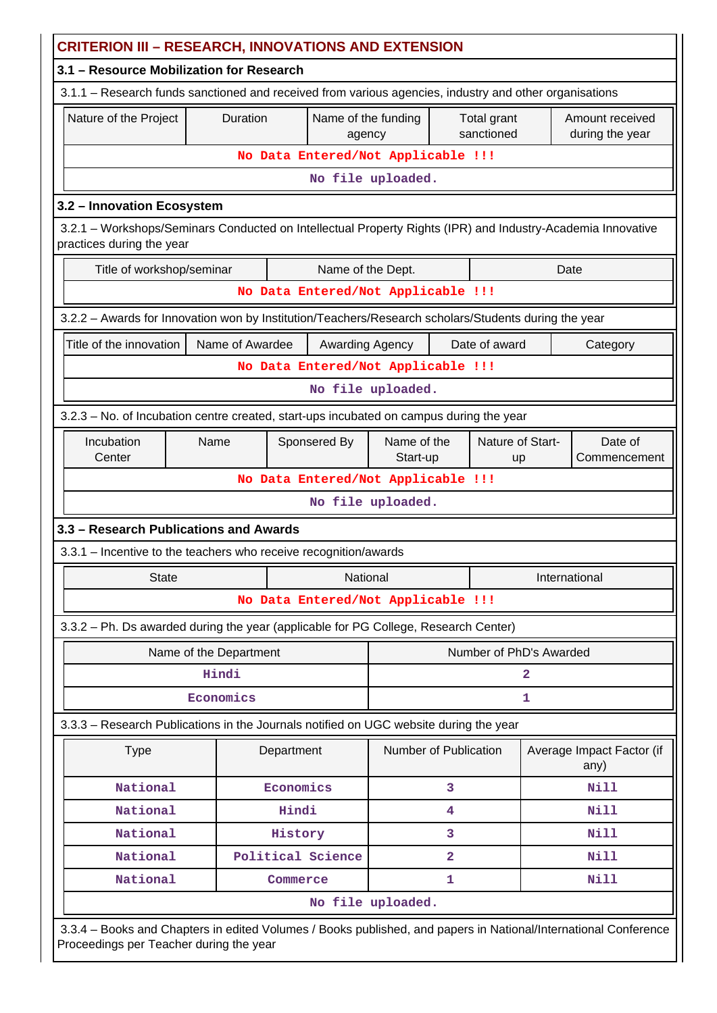| <b>CRITERION III – RESEARCH, INNOVATIONS AND EXTENSION</b>                                                                                                 |                                                                                                        |            |                                    |                           |                           |                         |              |                                    |
|------------------------------------------------------------------------------------------------------------------------------------------------------------|--------------------------------------------------------------------------------------------------------|------------|------------------------------------|---------------------------|---------------------------|-------------------------|--------------|------------------------------------|
| 3.1 - Resource Mobilization for Research                                                                                                                   |                                                                                                        |            |                                    |                           |                           |                         |              |                                    |
|                                                                                                                                                            | 3.1.1 - Research funds sanctioned and received from various agencies, industry and other organisations |            |                                    |                           |                           |                         |              |                                    |
| Nature of the Project                                                                                                                                      | Duration                                                                                               |            | Name of the funding<br>agency      |                           | Total grant<br>sanctioned |                         |              | Amount received<br>during the year |
|                                                                                                                                                            |                                                                                                        |            | No Data Entered/Not Applicable !!! |                           |                           |                         |              |                                    |
|                                                                                                                                                            |                                                                                                        |            |                                    | No file uploaded.         |                           |                         |              |                                    |
| 3.2 - Innovation Ecosystem                                                                                                                                 |                                                                                                        |            |                                    |                           |                           |                         |              |                                    |
| 3.2.1 - Workshops/Seminars Conducted on Intellectual Property Rights (IPR) and Industry-Academia Innovative<br>practices during the year                   |                                                                                                        |            |                                    |                           |                           |                         |              |                                    |
| Title of workshop/seminar                                                                                                                                  |                                                                                                        |            | Name of the Dept.                  |                           |                           |                         |              | Date                               |
|                                                                                                                                                            |                                                                                                        |            | No Data Entered/Not Applicable !!! |                           |                           |                         |              |                                    |
| 3.2.2 - Awards for Innovation won by Institution/Teachers/Research scholars/Students during the year                                                       |                                                                                                        |            |                                    |                           |                           |                         |              |                                    |
| Title of the innovation                                                                                                                                    | Name of Awardee                                                                                        |            | Awarding Agency                    |                           |                           | Date of award           |              | Category                           |
|                                                                                                                                                            |                                                                                                        |            | No Data Entered/Not Applicable !!! |                           |                           |                         |              |                                    |
|                                                                                                                                                            |                                                                                                        |            |                                    | No file uploaded.         |                           |                         |              |                                    |
| 3.2.3 - No. of Incubation centre created, start-ups incubated on campus during the year                                                                    |                                                                                                        |            |                                    |                           |                           |                         |              |                                    |
| Incubation                                                                                                                                                 | Nature of Start-<br>Sponsered By<br>Name of the<br>Name                                                |            |                                    |                           |                           | Date of                 |              |                                    |
| Center                                                                                                                                                     |                                                                                                        |            |                                    |                           | Start-up                  | up                      |              | Commencement                       |
|                                                                                                                                                            | No Data Entered/Not Applicable !!!                                                                     |            |                                    |                           |                           |                         |              |                                    |
| No file uploaded.                                                                                                                                          |                                                                                                        |            |                                    |                           |                           |                         |              |                                    |
| 3.3 - Research Publications and Awards                                                                                                                     |                                                                                                        |            |                                    |                           |                           |                         |              |                                    |
| 3.3.1 - Incentive to the teachers who receive recognition/awards                                                                                           |                                                                                                        |            |                                    |                           |                           |                         |              |                                    |
| <b>State</b>                                                                                                                                               |                                                                                                        |            |                                    | National<br>International |                           |                         |              |                                    |
|                                                                                                                                                            |                                                                                                        |            | No Data Entered/Not Applicable !!! |                           |                           |                         |              |                                    |
| 3.3.2 - Ph. Ds awarded during the year (applicable for PG College, Research Center)                                                                        |                                                                                                        |            |                                    |                           |                           |                         |              |                                    |
|                                                                                                                                                            | Name of the Department                                                                                 |            |                                    |                           |                           | Number of PhD's Awarded |              |                                    |
|                                                                                                                                                            | Hindi                                                                                                  |            |                                    |                           |                           |                         | $\mathbf{2}$ |                                    |
|                                                                                                                                                            | Economics                                                                                              |            |                                    |                           |                           |                         | 1            |                                    |
| 3.3.3 - Research Publications in the Journals notified on UGC website during the year                                                                      |                                                                                                        |            |                                    |                           |                           |                         |              |                                    |
| <b>Type</b>                                                                                                                                                |                                                                                                        | Department |                                    | Number of Publication     |                           |                         |              | Average Impact Factor (if<br>any)  |
| National                                                                                                                                                   |                                                                                                        | Economics  |                                    |                           | 3                         |                         |              | <b>Nill</b>                        |
| National                                                                                                                                                   |                                                                                                        | Hindi      |                                    |                           | 4                         |                         |              | <b>Nill</b>                        |
| National                                                                                                                                                   |                                                                                                        | History    |                                    |                           | 3                         |                         |              | Nill                               |
| National                                                                                                                                                   |                                                                                                        |            | Political Science                  |                           | $\overline{2}$            |                         |              | Nill                               |
| National                                                                                                                                                   |                                                                                                        | Commerce   |                                    | 1                         |                           | Nill                    |              |                                    |
|                                                                                                                                                            | No file uploaded.                                                                                      |            |                                    |                           |                           |                         |              |                                    |
| 3.3.4 - Books and Chapters in edited Volumes / Books published, and papers in National/International Conference<br>Proceedings per Teacher during the year |                                                                                                        |            |                                    |                           |                           |                         |              |                                    |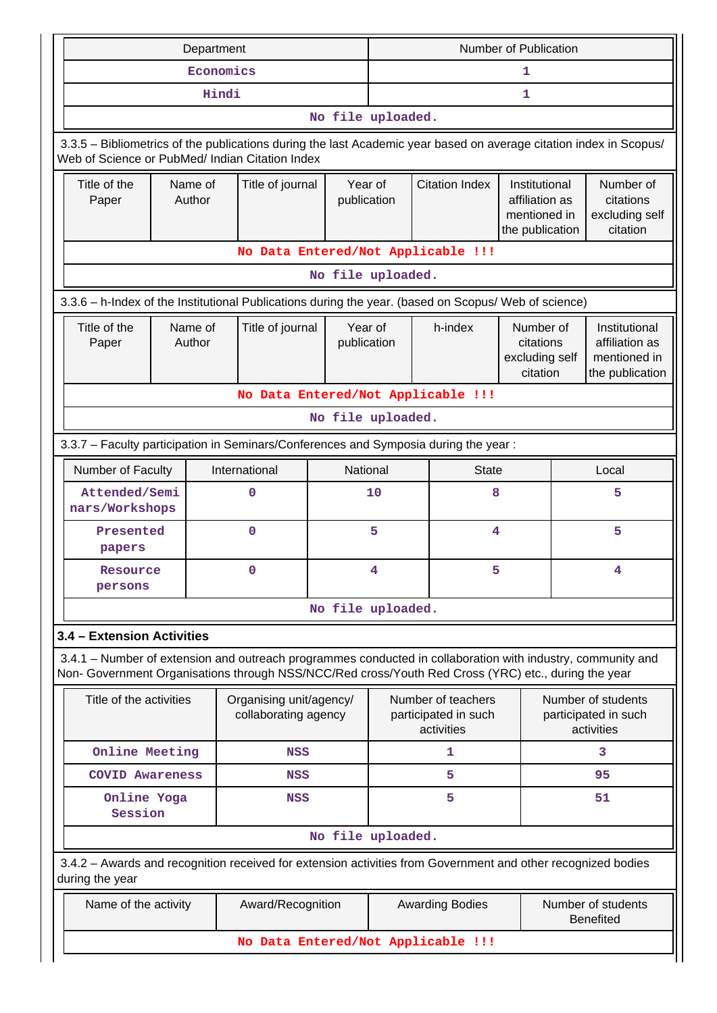|                                                                                                                                                                                                                    |  | Department        |                                                 |                        | Number of Publication                                            |                                                                    |                                                      |                                                      |                                                                    |  |  |  |  |  |  |
|--------------------------------------------------------------------------------------------------------------------------------------------------------------------------------------------------------------------|--|-------------------|-------------------------------------------------|------------------------|------------------------------------------------------------------|--------------------------------------------------------------------|------------------------------------------------------|------------------------------------------------------|--------------------------------------------------------------------|--|--|--|--|--|--|
|                                                                                                                                                                                                                    |  | Economics         |                                                 |                        | 1                                                                |                                                                    |                                                      |                                                      |                                                                    |  |  |  |  |  |  |
|                                                                                                                                                                                                                    |  | Hindi             |                                                 |                        | 1                                                                |                                                                    |                                                      |                                                      |                                                                    |  |  |  |  |  |  |
|                                                                                                                                                                                                                    |  |                   |                                                 | No file uploaded.      |                                                                  |                                                                    |                                                      |                                                      |                                                                    |  |  |  |  |  |  |
| 3.3.5 – Bibliometrics of the publications during the last Academic year based on average citation index in Scopus/<br>Web of Science or PubMed/ Indian Citation Index                                              |  |                   |                                                 |                        |                                                                  |                                                                    |                                                      |                                                      |                                                                    |  |  |  |  |  |  |
| Title of the<br>Name of<br>Author<br>Paper                                                                                                                                                                         |  | Title of journal  | Year of<br>publication                          |                        | <b>Citation Index</b>                                            | Institutional<br>affiliation as<br>mentioned in<br>the publication |                                                      | Number of<br>citations<br>excluding self<br>citation |                                                                    |  |  |  |  |  |  |
|                                                                                                                                                                                                                    |  |                   |                                                 |                        |                                                                  | No Data Entered/Not Applicable !!!                                 |                                                      |                                                      |                                                                    |  |  |  |  |  |  |
|                                                                                                                                                                                                                    |  |                   |                                                 | No file uploaded.      |                                                                  |                                                                    |                                                      |                                                      |                                                                    |  |  |  |  |  |  |
| 3.3.6 - h-Index of the Institutional Publications during the year. (based on Scopus/ Web of science)                                                                                                               |  |                   |                                                 |                        |                                                                  |                                                                    |                                                      |                                                      |                                                                    |  |  |  |  |  |  |
| Title of the<br>Paper                                                                                                                                                                                              |  | Name of<br>Author | Title of journal                                | Year of<br>publication |                                                                  | h-index                                                            | Number of<br>citations<br>excluding self<br>citation |                                                      | Institutional<br>affiliation as<br>mentioned in<br>the publication |  |  |  |  |  |  |
|                                                                                                                                                                                                                    |  |                   |                                                 |                        |                                                                  | No Data Entered/Not Applicable !!!                                 |                                                      |                                                      |                                                                    |  |  |  |  |  |  |
| No file uploaded.                                                                                                                                                                                                  |  |                   |                                                 |                        |                                                                  |                                                                    |                                                      |                                                      |                                                                    |  |  |  |  |  |  |
| 3.3.7 - Faculty participation in Seminars/Conferences and Symposia during the year:                                                                                                                                |  |                   |                                                 |                        |                                                                  |                                                                    |                                                      |                                                      |                                                                    |  |  |  |  |  |  |
| Number of Faculty                                                                                                                                                                                                  |  |                   | International                                   | National               |                                                                  | <b>State</b>                                                       |                                                      |                                                      | Local                                                              |  |  |  |  |  |  |
| Attended/Semi<br>nars/Workshops                                                                                                                                                                                    |  |                   | 0                                               |                        | 10                                                               | 8                                                                  |                                                      | 5                                                    |                                                                    |  |  |  |  |  |  |
| Presented<br>papers                                                                                                                                                                                                |  |                   | 0                                               |                        | 5                                                                |                                                                    | 4                                                    |                                                      | 5                                                                  |  |  |  |  |  |  |
| Resource<br>persons                                                                                                                                                                                                |  |                   | 0                                               |                        | 5<br>4                                                           |                                                                    |                                                      | 4                                                    |                                                                    |  |  |  |  |  |  |
|                                                                                                                                                                                                                    |  |                   |                                                 | No file uploaded.      |                                                                  |                                                                    |                                                      |                                                      |                                                                    |  |  |  |  |  |  |
| 3.4 - Extension Activities                                                                                                                                                                                         |  |                   |                                                 |                        |                                                                  |                                                                    |                                                      |                                                      |                                                                    |  |  |  |  |  |  |
| 3.4.1 – Number of extension and outreach programmes conducted in collaboration with industry, community and<br>Non- Government Organisations through NSS/NCC/Red cross/Youth Red Cross (YRC) etc., during the year |  |                   |                                                 |                        |                                                                  |                                                                    |                                                      |                                                      |                                                                    |  |  |  |  |  |  |
| Title of the activities                                                                                                                                                                                            |  |                   | Organising unit/agency/<br>collaborating agency |                        |                                                                  | Number of teachers<br>participated in such<br>activities           |                                                      |                                                      | Number of students<br>participated in such<br>activities           |  |  |  |  |  |  |
| Online Meeting                                                                                                                                                                                                     |  |                   | NSS                                             |                        |                                                                  | 1                                                                  |                                                      |                                                      | 3                                                                  |  |  |  |  |  |  |
| <b>COVID Awareness</b>                                                                                                                                                                                             |  |                   | NSS                                             |                        |                                                                  | 5                                                                  |                                                      |                                                      | 95                                                                 |  |  |  |  |  |  |
| Online Yoga<br>Session                                                                                                                                                                                             |  |                   | <b>NSS</b>                                      |                        |                                                                  | 5                                                                  |                                                      |                                                      | 51                                                                 |  |  |  |  |  |  |
|                                                                                                                                                                                                                    |  |                   |                                                 | No file uploaded.      |                                                                  |                                                                    |                                                      |                                                      |                                                                    |  |  |  |  |  |  |
| 3.4.2 - Awards and recognition received for extension activities from Government and other recognized bodies<br>during the year                                                                                    |  |                   |                                                 |                        |                                                                  |                                                                    |                                                      |                                                      |                                                                    |  |  |  |  |  |  |
| Name of the activity                                                                                                                                                                                               |  |                   | Award/Recognition                               |                        | Number of students<br><b>Awarding Bodies</b><br><b>Benefited</b> |                                                                    |                                                      |                                                      |                                                                    |  |  |  |  |  |  |
|                                                                                                                                                                                                                    |  |                   |                                                 |                        |                                                                  |                                                                    |                                                      |                                                      | No Data Entered/Not Applicable !!!                                 |  |  |  |  |  |  |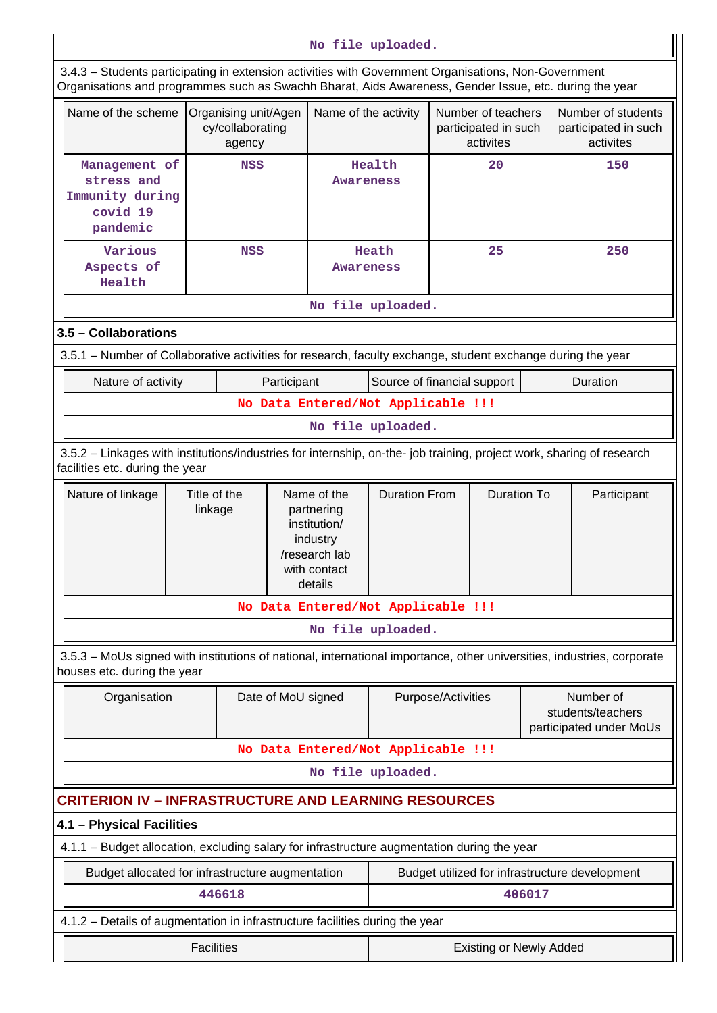|                                                                                                                                                                                                                |                         |                                                    |                    |                                                                                                   | No file uploaded.              |                    |                                                         |                                                           |                                                         |
|----------------------------------------------------------------------------------------------------------------------------------------------------------------------------------------------------------------|-------------------------|----------------------------------------------------|--------------------|---------------------------------------------------------------------------------------------------|--------------------------------|--------------------|---------------------------------------------------------|-----------------------------------------------------------|---------------------------------------------------------|
| 3.4.3 - Students participating in extension activities with Government Organisations, Non-Government<br>Organisations and programmes such as Swachh Bharat, Aids Awareness, Gender Issue, etc. during the year |                         |                                                    |                    |                                                                                                   |                                |                    |                                                         |                                                           |                                                         |
| Name of the scheme                                                                                                                                                                                             |                         | Organising unit/Agen<br>cy/collaborating<br>agency |                    | Name of the activity                                                                              |                                |                    | Number of teachers<br>participated in such<br>activites |                                                           | Number of students<br>participated in such<br>activites |
| Management of<br>stress and<br>Immunity during<br>covid 19<br>pandemic                                                                                                                                         |                         | <b>NSS</b>                                         |                    |                                                                                                   | Health<br><b>Awareness</b>     |                    | 20                                                      |                                                           | 150                                                     |
| Various<br>Aspects of<br>Health                                                                                                                                                                                |                         | <b>NSS</b>                                         |                    | <b>Awareness</b>                                                                                  | Heath<br>No file uploaded.     |                    | 25                                                      |                                                           | 250                                                     |
|                                                                                                                                                                                                                |                         |                                                    |                    |                                                                                                   |                                |                    |                                                         |                                                           |                                                         |
| 3.5 - Collaborations                                                                                                                                                                                           |                         |                                                    |                    |                                                                                                   |                                |                    |                                                         |                                                           |                                                         |
| 3.5.1 – Number of Collaborative activities for research, faculty exchange, student exchange during the year                                                                                                    |                         |                                                    |                    |                                                                                                   |                                |                    |                                                         |                                                           |                                                         |
| Nature of activity                                                                                                                                                                                             |                         |                                                    | Participant        |                                                                                                   | Source of financial support    |                    |                                                         |                                                           | Duration                                                |
| No Data Entered/Not Applicable !!!                                                                                                                                                                             |                         |                                                    |                    |                                                                                                   |                                |                    |                                                         |                                                           |                                                         |
| No file uploaded.                                                                                                                                                                                              |                         |                                                    |                    |                                                                                                   |                                |                    |                                                         |                                                           |                                                         |
| 3.5.2 - Linkages with institutions/industries for internship, on-the- job training, project work, sharing of research<br>facilities etc. during the year                                                       |                         |                                                    |                    |                                                                                                   |                                |                    |                                                         |                                                           |                                                         |
| Nature of linkage                                                                                                                                                                                              | Title of the<br>linkage |                                                    |                    | Name of the<br>partnering<br>institution/<br>industry<br>/research lab<br>with contact<br>details | <b>Duration From</b>           |                    | <b>Duration To</b>                                      |                                                           | Participant                                             |
|                                                                                                                                                                                                                |                         |                                                    |                    | No Data Entered/Not Applicable !!!                                                                |                                |                    |                                                         |                                                           |                                                         |
|                                                                                                                                                                                                                |                         |                                                    |                    |                                                                                                   | No file uploaded.              |                    |                                                         |                                                           |                                                         |
| 3.5.3 – MoUs signed with institutions of national, international importance, other universities, industries, corporate<br>houses etc. during the year                                                          |                         |                                                    |                    |                                                                                                   |                                |                    |                                                         |                                                           |                                                         |
| Organisation                                                                                                                                                                                                   |                         |                                                    | Date of MoU signed |                                                                                                   |                                | Purpose/Activities |                                                         | Number of<br>students/teachers<br>participated under MoUs |                                                         |
|                                                                                                                                                                                                                |                         |                                                    |                    | No Data Entered/Not Applicable !!!                                                                |                                |                    |                                                         |                                                           |                                                         |
|                                                                                                                                                                                                                |                         |                                                    |                    |                                                                                                   | No file uploaded.              |                    |                                                         |                                                           |                                                         |
| <b>CRITERION IV - INFRASTRUCTURE AND LEARNING RESOURCES</b>                                                                                                                                                    |                         |                                                    |                    |                                                                                                   |                                |                    |                                                         |                                                           |                                                         |
| 4.1 - Physical Facilities                                                                                                                                                                                      |                         |                                                    |                    |                                                                                                   |                                |                    |                                                         |                                                           |                                                         |
| 4.1.1 - Budget allocation, excluding salary for infrastructure augmentation during the year                                                                                                                    |                         |                                                    |                    |                                                                                                   |                                |                    |                                                         |                                                           |                                                         |
| Budget allocated for infrastructure augmentation                                                                                                                                                               |                         |                                                    |                    |                                                                                                   |                                |                    | Budget utilized for infrastructure development          |                                                           |                                                         |
|                                                                                                                                                                                                                |                         | 446618                                             |                    |                                                                                                   |                                |                    | 406017                                                  |                                                           |                                                         |
| 4.1.2 - Details of augmentation in infrastructure facilities during the year                                                                                                                                   |                         |                                                    |                    |                                                                                                   |                                |                    |                                                         |                                                           |                                                         |
|                                                                                                                                                                                                                | <b>Facilities</b>       |                                                    |                    |                                                                                                   | <b>Existing or Newly Added</b> |                    |                                                         |                                                           |                                                         |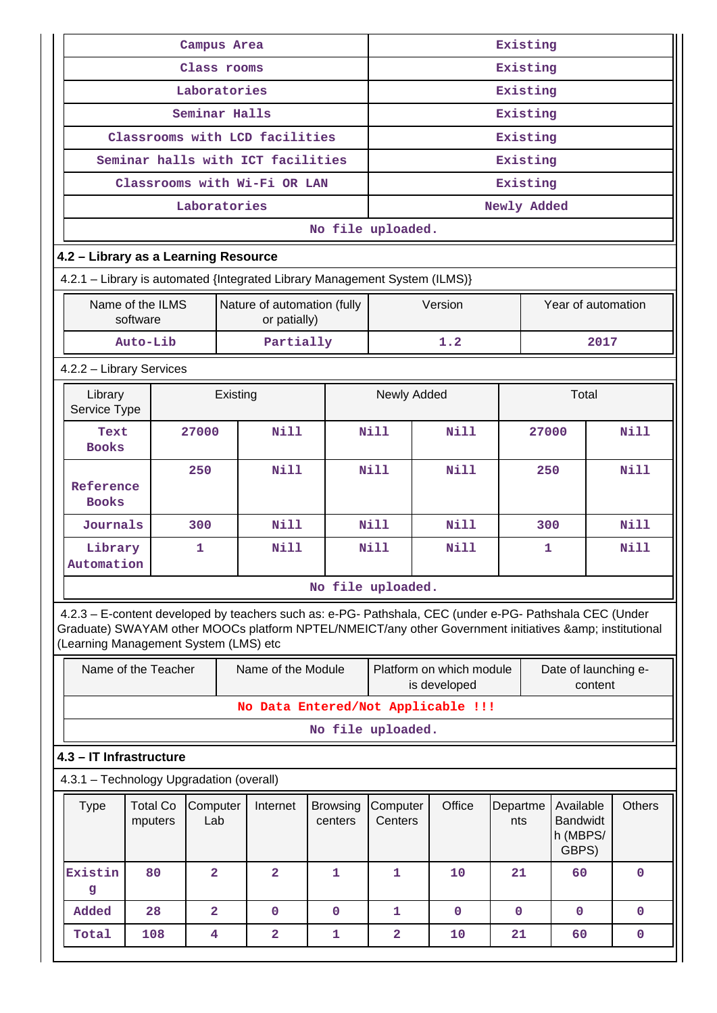|                                                                                                                                                                                                                                                         |                              | Campus Area             |          |                                             |                            | Existing                |                                          |                 |          |                                                   |         |               |
|---------------------------------------------------------------------------------------------------------------------------------------------------------------------------------------------------------------------------------------------------------|------------------------------|-------------------------|----------|---------------------------------------------|----------------------------|-------------------------|------------------------------------------|-----------------|----------|---------------------------------------------------|---------|---------------|
|                                                                                                                                                                                                                                                         |                              | Class rooms             |          |                                             |                            | Existing                |                                          |                 |          |                                                   |         |               |
|                                                                                                                                                                                                                                                         |                              | Laboratories            |          |                                             |                            | Existing                |                                          |                 |          |                                                   |         |               |
|                                                                                                                                                                                                                                                         |                              | Seminar Halls           |          |                                             |                            | Existing                |                                          |                 |          |                                                   |         |               |
|                                                                                                                                                                                                                                                         |                              |                         |          | Classrooms with LCD facilities              |                            |                         |                                          |                 | Existing |                                                   |         |               |
|                                                                                                                                                                                                                                                         |                              |                         |          | Seminar halls with ICT facilities           |                            |                         |                                          |                 | Existing |                                                   |         |               |
|                                                                                                                                                                                                                                                         |                              |                         |          | Classrooms with Wi-Fi OR LAN                |                            |                         |                                          |                 | Existing |                                                   |         |               |
|                                                                                                                                                                                                                                                         |                              | Laboratories            |          |                                             |                            |                         |                                          | Newly Added     |          |                                                   |         |               |
|                                                                                                                                                                                                                                                         |                              |                         |          |                                             | No file uploaded.          |                         |                                          |                 |          |                                                   |         |               |
| 4.2 - Library as a Learning Resource                                                                                                                                                                                                                    |                              |                         |          |                                             |                            |                         |                                          |                 |          |                                                   |         |               |
| 4.2.1 - Library is automated {Integrated Library Management System (ILMS)}                                                                                                                                                                              |                              |                         |          |                                             |                            |                         |                                          |                 |          |                                                   |         |               |
|                                                                                                                                                                                                                                                         | Name of the ILMS<br>software |                         |          | Nature of automation (fully<br>or patially) |                            |                         | Version                                  |                 |          | Year of automation                                |         |               |
|                                                                                                                                                                                                                                                         | Auto-Lib                     |                         |          | Partially                                   |                            |                         | 1.2                                      |                 |          |                                                   | 2017    |               |
| 4.2.2 - Library Services                                                                                                                                                                                                                                |                              |                         |          |                                             |                            |                         |                                          |                 |          |                                                   |         |               |
| Library<br>Service Type                                                                                                                                                                                                                                 |                              |                         | Existing |                                             |                            | Newly Added             |                                          |                 |          | Total                                             |         |               |
| Text<br><b>Books</b>                                                                                                                                                                                                                                    |                              | 27000                   |          | Nill                                        |                            | Nill                    | <b>Nill</b>                              |                 | 27000    |                                                   |         | Nill          |
| Reference<br><b>Books</b>                                                                                                                                                                                                                               | 250                          |                         |          | <b>Nill</b>                                 |                            | Nill<br>Nill            |                                          |                 | 250      |                                                   |         | Nill          |
| Journals                                                                                                                                                                                                                                                |                              | 300                     |          | <b>Nill</b>                                 |                            | <b>Nill</b>             | <b>Nill</b>                              |                 | 300      |                                                   |         | Nill          |
| Library<br>Automation                                                                                                                                                                                                                                   |                              | 1                       |          | Nill                                        |                            | <b>Nill</b>             | Nill                                     |                 | 1        |                                                   |         | Nill          |
|                                                                                                                                                                                                                                                         |                              |                         |          |                                             | No file uploaded.          |                         |                                          |                 |          |                                                   |         |               |
| 4.2.3 - E-content developed by teachers such as: e-PG- Pathshala, CEC (under e-PG- Pathshala CEC (Under<br>Graduate) SWAYAM other MOOCs platform NPTEL/NMEICT/any other Government initiatives & institutional<br>(Learning Management System (LMS) etc |                              |                         |          |                                             |                            |                         |                                          |                 |          |                                                   |         |               |
|                                                                                                                                                                                                                                                         | Name of the Teacher          |                         |          | Name of the Module                          |                            |                         | Platform on which module<br>is developed |                 |          | Date of launching e-                              | content |               |
|                                                                                                                                                                                                                                                         |                              |                         |          |                                             |                            |                         | No Data Entered/Not Applicable !!!       |                 |          |                                                   |         |               |
|                                                                                                                                                                                                                                                         |                              |                         |          |                                             | No file uploaded.          |                         |                                          |                 |          |                                                   |         |               |
| 4.3 - IT Infrastructure                                                                                                                                                                                                                                 |                              |                         |          |                                             |                            |                         |                                          |                 |          |                                                   |         |               |
| 4.3.1 - Technology Upgradation (overall)                                                                                                                                                                                                                |                              |                         |          |                                             |                            |                         |                                          |                 |          |                                                   |         |               |
| <b>Type</b>                                                                                                                                                                                                                                             | <b>Total Co</b><br>mputers   | Computer<br>Lab         |          | Internet                                    | <b>Browsing</b><br>centers | Computer<br>Centers     | Office                                   | Departme<br>nts |          | Available<br><b>Bandwidt</b><br>h (MBPS/<br>GBPS) |         | <b>Others</b> |
| Existin<br>g                                                                                                                                                                                                                                            | 80                           | $\overline{a}$          |          | $\overline{2}$                              | 1                          | $\mathbf{1}$            | 10                                       | 21              |          | 60                                                |         | $\mathbf 0$   |
| Added                                                                                                                                                                                                                                                   | 28                           | $\overline{\mathbf{2}}$ |          | $\mathbf 0$                                 | $\mathbf 0$                | $\mathbf{1}$            | $\mathbf{0}$                             | $\mathbf{0}$    |          | $\mathbf{0}$                                      |         | $\mathbf 0$   |
| Total                                                                                                                                                                                                                                                   | 108                          | 4                       |          | $\overline{\mathbf{2}}$                     | 1                          | $\overline{\mathbf{2}}$ | 10                                       | 21              |          | 60                                                |         | 0             |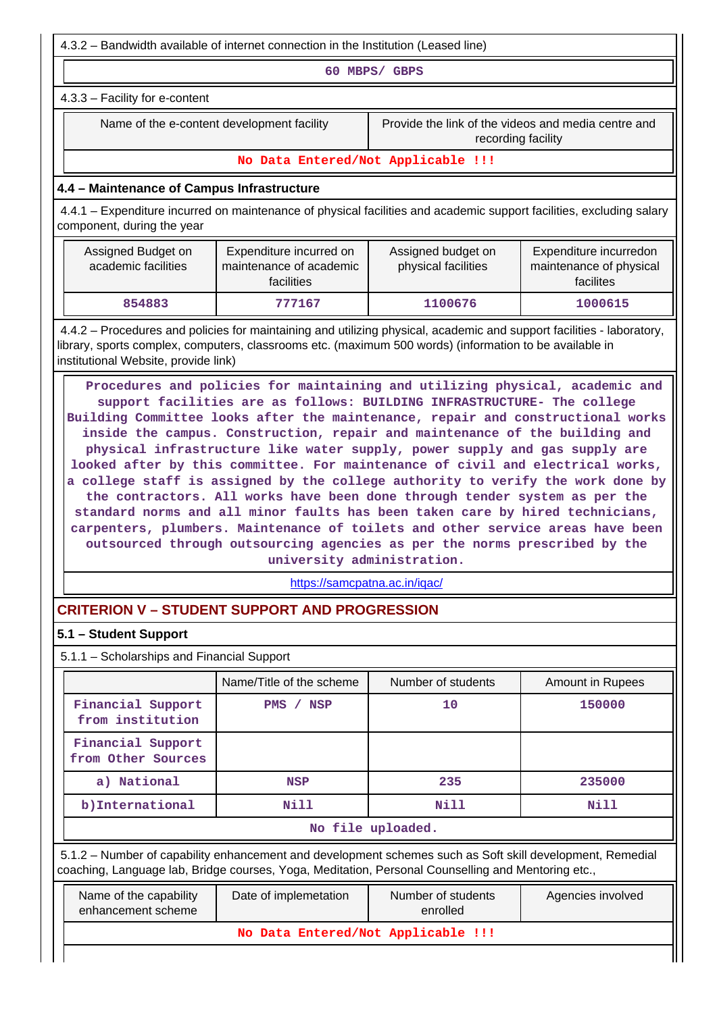4.3.2 – Bandwidth available of internet connection in the Institution (Leased line) **60 MBPS/ GBPS** 4.3.3 – Facility for e-content Name of the e-content development facility Frovide the link of the videos and media centre and recording facility **No Data Entered/Not Applicable !!! 4.4 – Maintenance of Campus Infrastructure** 4.4.1 – Expenditure incurred on maintenance of physical facilities and academic support facilities, excluding salary component, during the year Assigned Budget on academic facilities Expenditure incurred on maintenance of academic facilities Assigned budget on physical facilities Expenditure incurredon maintenance of physical facilites  **854883 777167 1100676 1000615** 4.4.2 – Procedures and policies for maintaining and utilizing physical, academic and support facilities - laboratory, library, sports complex, computers, classrooms etc. (maximum 500 words) (information to be available in institutional Website, provide link) **Procedures and policies for maintaining and utilizing physical, academic and support facilities are as follows: BUILDING INFRASTRUCTURE- The college Building Committee looks after the maintenance, repair and constructional works inside the campus. Construction, repair and maintenance of the building and physical infrastructure like water supply, power supply and gas supply are looked after by this committee. For maintenance of civil and electrical works, a college staff is assigned by the college authority to verify the work done by the contractors. All works have been done through tender system as per the standard norms and all minor faults has been taken care by hired technicians, carpenters, plumbers. Maintenance of toilets and other service areas have been outsourced through outsourcing agencies as per the norms prescribed by the university administration.** <https://samcpatna.ac.in/iqac/> **CRITERION V – STUDENT SUPPORT AND PROGRESSION 5.1 – Student Support** 5.1.1 – Scholarships and Financial Support Name/Title of the scheme Number of students Amount in Rupees **Financial Support from institution PMS / NSP 10 150000 Financial Support from Other Sources a**) National **NSP** 235 235000 **b**)International **Nill** Nill Nill Nill Nill **No file uploaded.** 5.1.2 – Number of capability enhancement and development schemes such as Soft skill development, Remedial coaching, Language lab, Bridge courses, Yoga, Meditation, Personal Counselling and Mentoring etc., Name of the capability enhancement scheme Date of implemetation | Number of students enrolled Agencies involved **No Data Entered/Not Applicable !!!**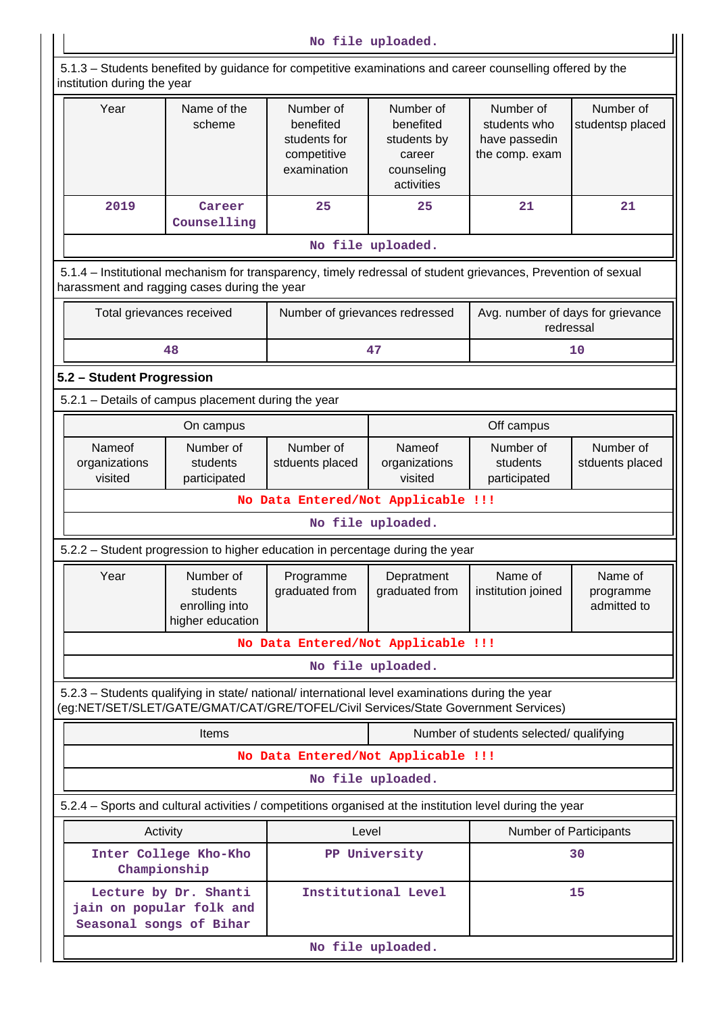| No file uploaded. |  |
|-------------------|--|
|-------------------|--|

 5.1.3 – Students benefited by guidance for competitive examinations and career counselling offered by the institution during the year

| Year                                                                                                                                                                                   | Name of the<br>scheme                                       | Number of<br>benefited<br>students for<br>competitive<br>examination | Number of<br>benefited<br>students by<br>career<br>counseling<br>activities | Number of<br>students who<br>have passedin<br>the comp. exam | Number of<br>studentsp placed       |  |  |  |
|----------------------------------------------------------------------------------------------------------------------------------------------------------------------------------------|-------------------------------------------------------------|----------------------------------------------------------------------|-----------------------------------------------------------------------------|--------------------------------------------------------------|-------------------------------------|--|--|--|
| 2019                                                                                                                                                                                   | Career<br>Counselling                                       | 25                                                                   | 25                                                                          | 21                                                           | 21                                  |  |  |  |
|                                                                                                                                                                                        |                                                             |                                                                      | No file uploaded.                                                           |                                                              |                                     |  |  |  |
| 5.1.4 - Institutional mechanism for transparency, timely redressal of student grievances, Prevention of sexual<br>harassment and ragging cases during the year                         |                                                             |                                                                      |                                                                             |                                                              |                                     |  |  |  |
| Total grievances received                                                                                                                                                              |                                                             | Number of grievances redressed                                       |                                                                             | Avg. number of days for grievance<br>redressal               |                                     |  |  |  |
|                                                                                                                                                                                        | 48                                                          |                                                                      | 47                                                                          |                                                              | 10                                  |  |  |  |
| 5.2 - Student Progression                                                                                                                                                              |                                                             |                                                                      |                                                                             |                                                              |                                     |  |  |  |
| 5.2.1 - Details of campus placement during the year                                                                                                                                    |                                                             |                                                                      |                                                                             |                                                              |                                     |  |  |  |
|                                                                                                                                                                                        | On campus                                                   |                                                                      |                                                                             | Off campus                                                   |                                     |  |  |  |
| Nameof<br>organizations<br>visited                                                                                                                                                     | Number of<br>students<br>participated                       | Number of<br>stduents placed                                         | Nameof<br>organizations<br>visited                                          | Number of<br>students<br>participated                        | Number of<br>stduents placed        |  |  |  |
|                                                                                                                                                                                        | No Data Entered/Not Applicable !!!                          |                                                                      |                                                                             |                                                              |                                     |  |  |  |
|                                                                                                                                                                                        | No file uploaded.                                           |                                                                      |                                                                             |                                                              |                                     |  |  |  |
| 5.2.2 - Student progression to higher education in percentage during the year                                                                                                          |                                                             |                                                                      |                                                                             |                                                              |                                     |  |  |  |
| Year                                                                                                                                                                                   | Number of<br>students<br>enrolling into<br>higher education | Programme<br>graduated from                                          | Depratment<br>graduated from                                                | Name of<br>institution joined                                | Name of<br>programme<br>admitted to |  |  |  |
|                                                                                                                                                                                        |                                                             |                                                                      | No Data Entered/Not Applicable !!!                                          |                                                              |                                     |  |  |  |
|                                                                                                                                                                                        |                                                             |                                                                      | No file uploaded.                                                           |                                                              |                                     |  |  |  |
| 5.2.3 - Students qualifying in state/ national/ international level examinations during the year<br>(eg:NET/SET/SLET/GATE/GMAT/CAT/GRE/TOFEL/Civil Services/State Government Services) |                                                             |                                                                      |                                                                             |                                                              |                                     |  |  |  |
|                                                                                                                                                                                        | <b>Items</b>                                                |                                                                      |                                                                             | Number of students selected/ qualifying                      |                                     |  |  |  |
|                                                                                                                                                                                        |                                                             |                                                                      | No Data Entered/Not Applicable !!!                                          |                                                              |                                     |  |  |  |
|                                                                                                                                                                                        |                                                             |                                                                      | No file uploaded.                                                           |                                                              |                                     |  |  |  |
| 5.2.4 - Sports and cultural activities / competitions organised at the institution level during the year                                                                               |                                                             |                                                                      |                                                                             |                                                              |                                     |  |  |  |
| Activity                                                                                                                                                                               |                                                             | Level                                                                |                                                                             | <b>Number of Participants</b>                                |                                     |  |  |  |
| Championship                                                                                                                                                                           | Inter College Kho-Kho                                       |                                                                      | PP University<br>30                                                         |                                                              |                                     |  |  |  |
| Seasonal songs of Bihar                                                                                                                                                                | Lecture by Dr. Shanti<br>jain on popular folk and           |                                                                      | Institutional Level                                                         |                                                              | 15                                  |  |  |  |
|                                                                                                                                                                                        |                                                             |                                                                      | No file uploaded.                                                           |                                                              |                                     |  |  |  |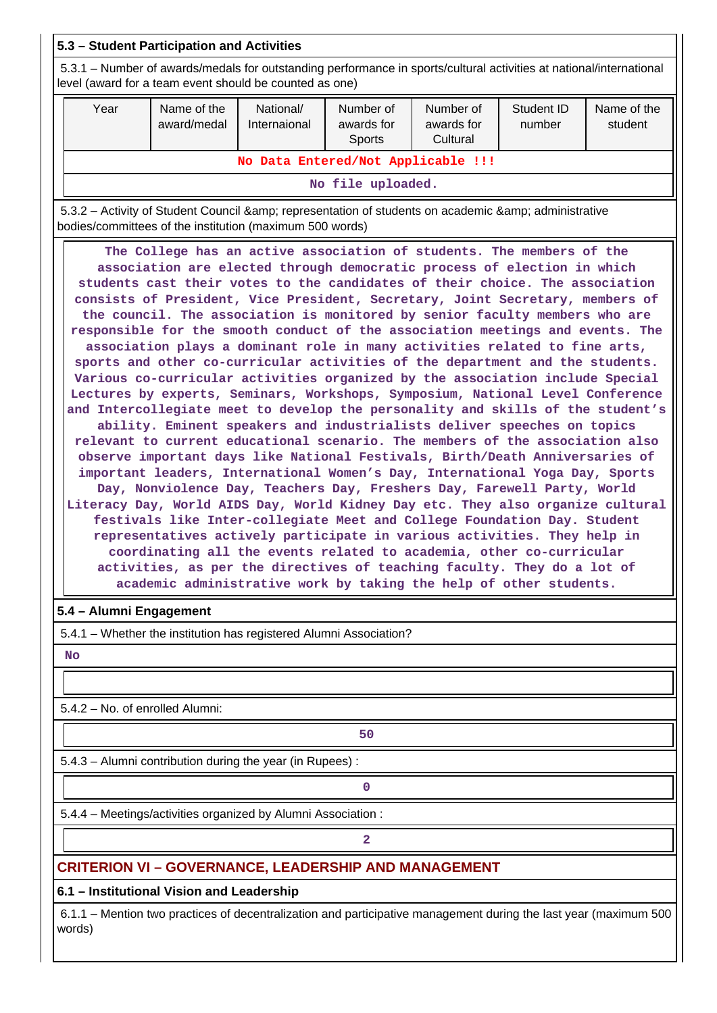### **5.3 – Student Participation and Activities**

 5.3.1 – Number of awards/medals for outstanding performance in sports/cultural activities at national/international level (award for a team event should be counted as one)

| Year                               | Name of the<br>award/medal | National/<br>Internaional | Number of<br>awards for<br>Sports | Number of<br>awards for<br>Cultural | Student ID<br>number | Name of the<br>student |  |  |
|------------------------------------|----------------------------|---------------------------|-----------------------------------|-------------------------------------|----------------------|------------------------|--|--|
| No Data Entered/Not Applicable !!! |                            |                           |                                   |                                     |                      |                        |  |  |
| No file uploaded.                  |                            |                           |                                   |                                     |                      |                        |  |  |

5.3.2 – Activity of Student Council & amp; representation of students on academic & amp; administrative bodies/committees of the institution (maximum 500 words)

 **The College has an active association of students. The members of the association are elected through democratic process of election in which students cast their votes to the candidates of their choice. The association consists of President, Vice President, Secretary, Joint Secretary, members of the council. The association is monitored by senior faculty members who are responsible for the smooth conduct of the association meetings and events. The association plays a dominant role in many activities related to fine arts, sports and other co-curricular activities of the department and the students. Various co-curricular activities organized by the association include Special Lectures by experts, Seminars, Workshops, Symposium, National Level Conference and Intercollegiate meet to develop the personality and skills of the student's ability. Eminent speakers and industrialists deliver speeches on topics relevant to current educational scenario. The members of the association also observe important days like National Festivals, Birth/Death Anniversaries of important leaders, International Women's Day, International Yoga Day, Sports Day, Nonviolence Day, Teachers Day, Freshers Day, Farewell Party, World Literacy Day, World AIDS Day, World Kidney Day etc. They also organize cultural festivals like Inter-collegiate Meet and College Foundation Day. Student representatives actively participate in various activities. They help in coordinating all the events related to academia, other co-curricular activities, as per the directives of teaching faculty. They do a lot of academic administrative work by taking the help of other students.**

### **5.4 – Alumni Engagement**

5.4.1 – Whether the institution has registered Alumni Association?

 **No**

5.4.2 – No. of enrolled Alumni:

**50**

5.4.3 – Alumni contribution during the year (in Rupees) :

**0**

5.4.4 – Meetings/activities organized by Alumni Association :

**2**

### **CRITERION VI – GOVERNANCE, LEADERSHIP AND MANAGEMENT**

**6.1 – Institutional Vision and Leadership**

 6.1.1 – Mention two practices of decentralization and participative management during the last year (maximum 500 words)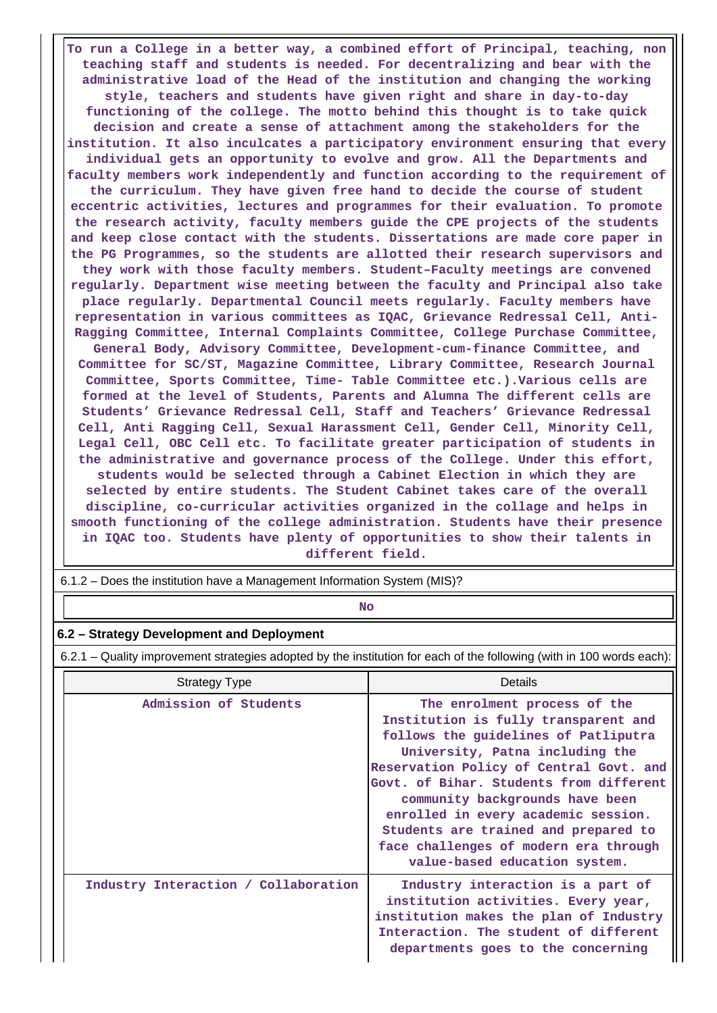**To run a College in a better way, a combined effort of Principal, teaching, non teaching staff and students is needed. For decentralizing and bear with the administrative load of the Head of the institution and changing the working style, teachers and students have given right and share in day-to-day functioning of the college. The motto behind this thought is to take quick decision and create a sense of attachment among the stakeholders for the institution. It also inculcates a participatory environment ensuring that every individual gets an opportunity to evolve and grow. All the Departments and faculty members work independently and function according to the requirement of the curriculum. They have given free hand to decide the course of student eccentric activities, lectures and programmes for their evaluation. To promote the research activity, faculty members guide the CPE projects of the students and keep close contact with the students. Dissertations are made core paper in the PG Programmes, so the students are allotted their research supervisors and they work with those faculty members. Student–Faculty meetings are convened regularly. Department wise meeting between the faculty and Principal also take place regularly. Departmental Council meets regularly. Faculty members have representation in various committees as IQAC, Grievance Redressal Cell, Anti-Ragging Committee, Internal Complaints Committee, College Purchase Committee, General Body, Advisory Committee, Development-cum-finance Committee, and Committee for SC/ST, Magazine Committee, Library Committee, Research Journal Committee, Sports Committee, Time- Table Committee etc.).Various cells are formed at the level of Students, Parents and Alumna The different cells are Students' Grievance Redressal Cell, Staff and Teachers' Grievance Redressal Cell, Anti Ragging Cell, Sexual Harassment Cell, Gender Cell, Minority Cell, Legal Cell, OBC Cell etc. To facilitate greater participation of students in the administrative and governance process of the College. Under this effort, students would be selected through a Cabinet Election in which they are selected by entire students. The Student Cabinet takes care of the overall discipline, co-curricular activities organized in the collage and helps in smooth functioning of the college administration. Students have their presence in IQAC too. Students have plenty of opportunities to show their talents in different field.**

6.1.2 – Does the institution have a Management Information System (MIS)?

### **No. 2. In the case of the case of the case of the case of the case of the case of the case of the case of the case of the case of the case of the case of the case of the case of the case of the case of the case of the cas**

#### **6.2 – Strategy Development and Deployment**

6.2.1 – Quality improvement strategies adopted by the institution for each of the following (with in 100 words each):

| <b>Strategy Type</b>                 | Details                                                                                                                                                                                                                                                                                                                                                                                                                           |
|--------------------------------------|-----------------------------------------------------------------------------------------------------------------------------------------------------------------------------------------------------------------------------------------------------------------------------------------------------------------------------------------------------------------------------------------------------------------------------------|
| Admission of Students                | The enrolment process of the<br>Institution is fully transparent and<br>follows the quidelines of Patliputra<br>University, Patna including the<br>Reservation Policy of Central Govt. and<br>Govt. of Bihar. Students from different<br>community backgrounds have been<br>enrolled in every academic session.<br>Students are trained and prepared to<br>face challenges of modern era through<br>value-based education system. |
| Industry Interaction / Collaboration | Industry interaction is a part of<br>institution activities. Every year,<br>institution makes the plan of Industry<br>Interaction. The student of different<br>departments goes to the concerning                                                                                                                                                                                                                                 |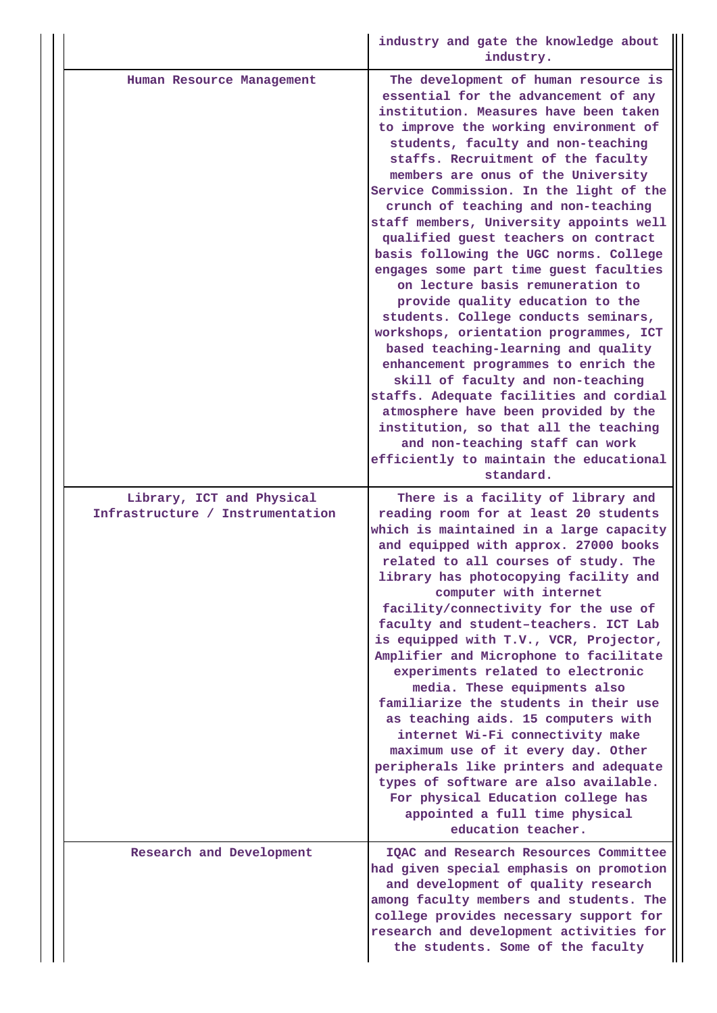|                                                               | industry and gate the knowledge about<br>industry.                                                                                                                                                                                                                                                                                                                                                                                                                                                                                                                                                                                                                                                                                                                                                                                                                                                                                                                                                                                             |
|---------------------------------------------------------------|------------------------------------------------------------------------------------------------------------------------------------------------------------------------------------------------------------------------------------------------------------------------------------------------------------------------------------------------------------------------------------------------------------------------------------------------------------------------------------------------------------------------------------------------------------------------------------------------------------------------------------------------------------------------------------------------------------------------------------------------------------------------------------------------------------------------------------------------------------------------------------------------------------------------------------------------------------------------------------------------------------------------------------------------|
| Human Resource Management                                     | The development of human resource is<br>essential for the advancement of any<br>institution. Measures have been taken<br>to improve the working environment of<br>students, faculty and non-teaching<br>staffs. Recruitment of the faculty<br>members are onus of the University<br>Service Commission. In the light of the<br>crunch of teaching and non-teaching<br>staff members, University appoints well<br>qualified guest teachers on contract<br>basis following the UGC norms. College<br>engages some part time guest faculties<br>on lecture basis remuneration to<br>provide quality education to the<br>students. College conducts seminars,<br>workshops, orientation programmes, ICT<br>based teaching-learning and quality<br>enhancement programmes to enrich the<br>skill of faculty and non-teaching<br>staffs. Adequate facilities and cordial<br>atmosphere have been provided by the<br>institution, so that all the teaching<br>and non-teaching staff can work<br>efficiently to maintain the educational<br>standard. |
| Library, ICT and Physical<br>Infrastructure / Instrumentation | There is a facility of library and<br>reading room for at least 20 students<br>which is maintained in a large capacity<br>and equipped with approx. 27000 books<br>related to all courses of study. The<br>library has photocopying facility and<br>computer with internet<br>facility/connectivity for the use of<br>faculty and student-teachers. ICT Lab<br>is equipped with T.V., VCR, Projector,<br>Amplifier and Microphone to facilitate<br>experiments related to electronic<br>media. These equipments also<br>familiarize the students in their use<br>as teaching aids. 15 computers with<br>internet Wi-Fi connectivity make<br>maximum use of it every day. Other<br>peripherals like printers and adequate<br>types of software are also available.<br>For physical Education college has<br>appointed a full time physical<br>education teacher.                                                                                                                                                                                |
| Research and Development                                      | IQAC and Research Resources Committee<br>had given special emphasis on promotion<br>and development of quality research<br>among faculty members and students. The<br>college provides necessary support for<br>research and development activities for<br>the students. Some of the faculty                                                                                                                                                                                                                                                                                                                                                                                                                                                                                                                                                                                                                                                                                                                                                   |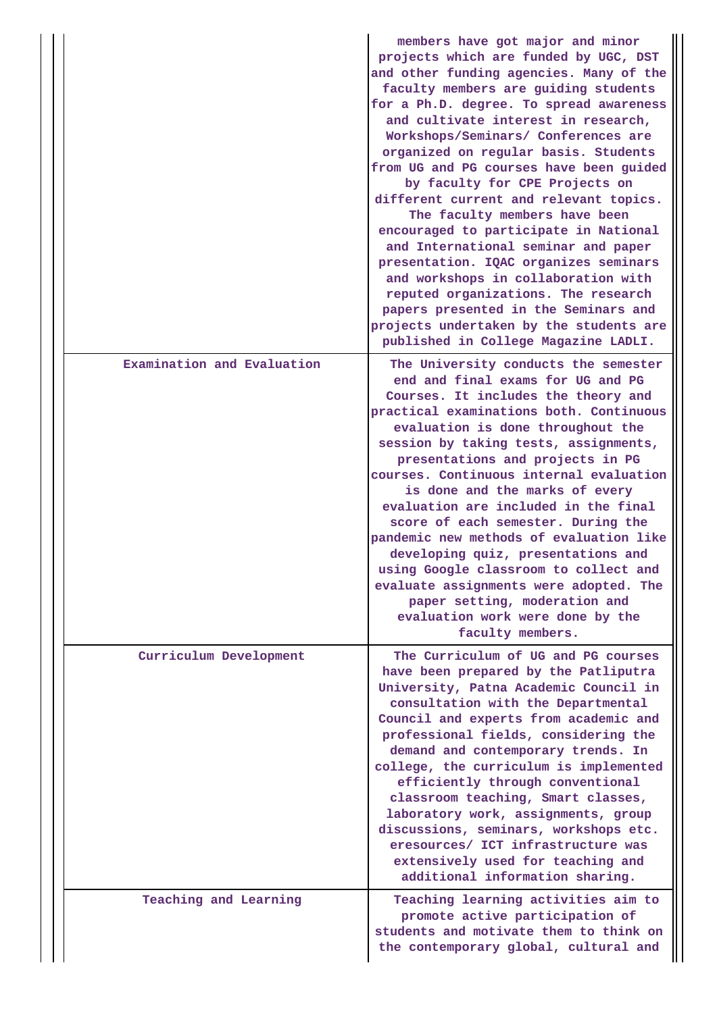|                            | members have got major and minor<br>projects which are funded by UGC, DST<br>and other funding agencies. Many of the<br>faculty members are guiding students<br>for a Ph.D. degree. To spread awareness<br>and cultivate interest in research,<br>Workshops/Seminars/ Conferences are<br>organized on regular basis. Students<br>from UG and PG courses have been guided<br>by faculty for CPE Projects on<br>different current and relevant topics.<br>The faculty members have been<br>encouraged to participate in National<br>and International seminar and paper<br>presentation. IQAC organizes seminars<br>and workshops in collaboration with<br>reputed organizations. The research<br>papers presented in the Seminars and<br>projects undertaken by the students are<br>published in College Magazine LADLI. |
|----------------------------|-------------------------------------------------------------------------------------------------------------------------------------------------------------------------------------------------------------------------------------------------------------------------------------------------------------------------------------------------------------------------------------------------------------------------------------------------------------------------------------------------------------------------------------------------------------------------------------------------------------------------------------------------------------------------------------------------------------------------------------------------------------------------------------------------------------------------|
| Examination and Evaluation | The University conducts the semester<br>end and final exams for UG and PG<br>Courses. It includes the theory and<br>practical examinations both. Continuous<br>evaluation is done throughout the<br>session by taking tests, assignments,<br>presentations and projects in PG<br>courses. Continuous internal evaluation<br>is done and the marks of every<br>evaluation are included in the final<br>score of each semester. During the<br>pandemic new methods of evaluation like<br>developing quiz, presentations and<br>using Google classroom to collect and<br>evaluate assignments were adopted. The<br>paper setting, moderation and<br>evaluation work were done by the<br>faculty members.                                                                                                                   |
| Curriculum Development     | The Curriculum of UG and PG courses<br>have been prepared by the Patliputra<br>University, Patna Academic Council in<br>consultation with the Departmental<br>Council and experts from academic and<br>professional fields, considering the<br>demand and contemporary trends. In<br>college, the curriculum is implemented<br>efficiently through conventional<br>classroom teaching, Smart classes,<br>laboratory work, assignments, group<br>discussions, seminars, workshops etc.<br>eresources/ ICT infrastructure was<br>extensively used for teaching and<br>additional information sharing.                                                                                                                                                                                                                     |
| Teaching and Learning      | Teaching learning activities aim to<br>promote active participation of<br>students and motivate them to think on<br>the contemporary global, cultural and                                                                                                                                                                                                                                                                                                                                                                                                                                                                                                                                                                                                                                                               |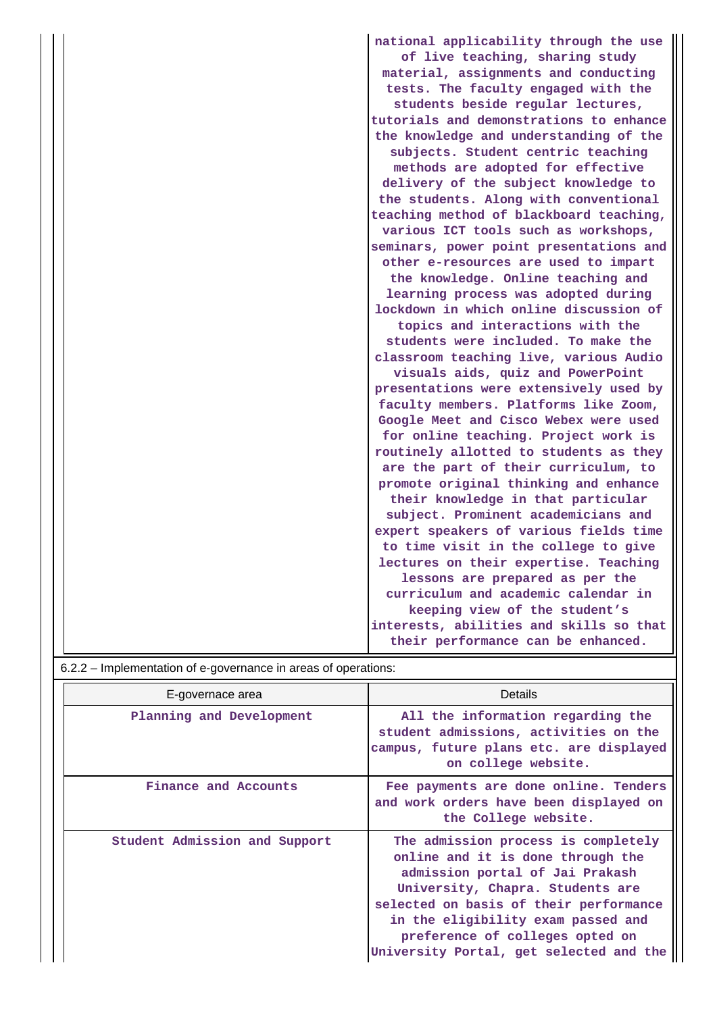|                                                                | national applicability through the use  |
|----------------------------------------------------------------|-----------------------------------------|
|                                                                | of live teaching, sharing study         |
|                                                                | material, assignments and conducting    |
|                                                                | tests. The faculty engaged with the     |
|                                                                | students beside regular lectures,       |
|                                                                | tutorials and demonstrations to enhance |
|                                                                | the knowledge and understanding of the  |
|                                                                | subjects. Student centric teaching      |
|                                                                | methods are adopted for effective       |
|                                                                | delivery of the subject knowledge to    |
|                                                                | the students. Along with conventional   |
|                                                                | teaching method of blackboard teaching, |
|                                                                | various ICT tools such as workshops,    |
|                                                                | seminars, power point presentations and |
|                                                                | other e-resources are used to impart    |
|                                                                | the knowledge. Online teaching and      |
|                                                                | learning process was adopted during     |
|                                                                | lockdown in which online discussion of  |
|                                                                | topics and interactions with the        |
|                                                                | students were included. To make the     |
|                                                                | classroom teaching live, various Audio  |
|                                                                | visuals aids, quiz and PowerPoint       |
|                                                                | presentations were extensively used by  |
|                                                                | faculty members. Platforms like Zoom,   |
|                                                                | Google Meet and Cisco Webex were used   |
|                                                                | for online teaching. Project work is    |
|                                                                | routinely allotted to students as they  |
|                                                                | are the part of their curriculum, to    |
|                                                                | promote original thinking and enhance   |
|                                                                | their knowledge in that particular      |
|                                                                | subject. Prominent academicians and     |
|                                                                | expert speakers of various fields time  |
|                                                                | to time visit in the college to give    |
|                                                                | lectures on their expertise. Teaching   |
|                                                                | lessons are prepared as per the         |
|                                                                | curriculum and academic calendar in     |
|                                                                | keeping view of the student's           |
|                                                                | interests, abilities and skills so that |
|                                                                | their performance can be enhanced.      |
| 6.2.2 – Implementation of e-governance in areas of operations: |                                         |

| E-governace area              | Details                                                                                                                                                                                                                                                                                                       |  |  |  |  |
|-------------------------------|---------------------------------------------------------------------------------------------------------------------------------------------------------------------------------------------------------------------------------------------------------------------------------------------------------------|--|--|--|--|
| Planning and Development      | All the information regarding the<br>student admissions, activities on the<br>campus, future plans etc. are displayed<br>on college website.                                                                                                                                                                  |  |  |  |  |
| Finance and Accounts          | Fee payments are done online. Tenders<br>and work orders have been displayed on<br>the College website.                                                                                                                                                                                                       |  |  |  |  |
| Student Admission and Support | The admission process is completely<br>online and it is done through the<br>admission portal of Jai Prakash<br>University, Chapra. Students are<br>selected on basis of their performance<br>in the eligibility exam passed and<br>preference of colleges opted on<br>University Portal, get selected and the |  |  |  |  |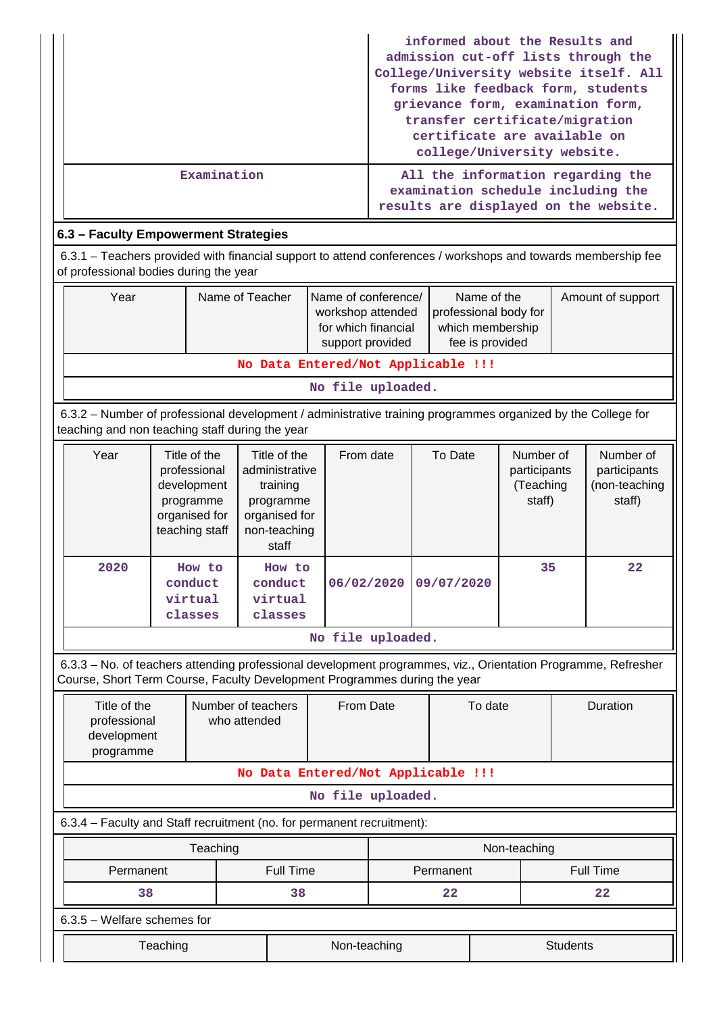|                                                                                                                                                         |                                      | informed about the Results and<br>admission cut-off lists through the<br>College/University website itself. All<br>forms like feedback form, students<br>grievance form, examination form,<br>transfer certificate/migration<br>certificate are available on<br>college/University website. |  |  |  |  |  |  |  |  |
|---------------------------------------------------------------------------------------------------------------------------------------------------------|--------------------------------------|---------------------------------------------------------------------------------------------------------------------------------------------------------------------------------------------------------------------------------------------------------------------------------------------|--|--|--|--|--|--|--|--|
|                                                                                                                                                         | Examination                          | All the information regarding the<br>examination schedule including the<br>results are displayed on the website.                                                                                                                                                                            |  |  |  |  |  |  |  |  |
|                                                                                                                                                         | 6.3 - Faculty Empowerment Strategies |                                                                                                                                                                                                                                                                                             |  |  |  |  |  |  |  |  |
| 6.3.1 – Teachers provided with financial support to attend conferences / workshops and towards membership fee<br>of professional bodies during the year |                                      |                                                                                                                                                                                                                                                                                             |  |  |  |  |  |  |  |  |
|                                                                                                                                                         |                                      |                                                                                                                                                                                                                                                                                             |  |  |  |  |  |  |  |  |

|  | Year                               | Name of Teacher     | Name of conference/                 | Name of the           | Amount of support |  |  |  |  |
|--|------------------------------------|---------------------|-------------------------------------|-----------------------|-------------------|--|--|--|--|
|  |                                    |                     | workshop attended                   | professional body for |                   |  |  |  |  |
|  |                                    | for which financial | which membership                    |                       |                   |  |  |  |  |
|  |                                    |                     | fee is provided<br>support provided |                       |                   |  |  |  |  |
|  | No Data Entered/Not Applicable !!! |                     |                                     |                       |                   |  |  |  |  |

**No file uploaded.**

 6.3.2 – Number of professional development / administrative training programmes organized by the College for teaching and non teaching staff during the year

| Year | Title of the<br>professional<br>development<br>programme<br>organised for<br>teaching staff | Title of the<br>administrative<br>training<br>programme<br>organised for<br>non-teaching<br>staff | From date  | To Date    | Number of<br>participants<br>(Teaching<br>staff) | Number of<br>participants<br>(non-teaching<br>staff) |
|------|---------------------------------------------------------------------------------------------|---------------------------------------------------------------------------------------------------|------------|------------|--------------------------------------------------|------------------------------------------------------|
| 2020 | How to<br>conduct<br>virtual<br>classes                                                     | How to<br>conduct<br>virtual<br>classes                                                           | 06/02/2020 | 09/07/2020 | 35                                               | $22 \,$                                              |

**No file uploaded.**

 6.3.3 – No. of teachers attending professional development programmes, viz., Orientation Programme, Refresher Course, Short Term Course, Faculty Development Programmes during the year

| Title of the<br>professional<br>development<br>programme               | Number of teachers<br>who attended |           | From Date               |           | To date      | <b>Duration</b>  |  |  |  |
|------------------------------------------------------------------------|------------------------------------|-----------|-------------------------|-----------|--------------|------------------|--|--|--|
| No Data Entered/Not Applicable !!!                                     |                                    |           |                         |           |              |                  |  |  |  |
|                                                                        | No file uploaded.                  |           |                         |           |              |                  |  |  |  |
| 6.3.4 – Faculty and Staff recruitment (no. for permanent recruitment): |                                    |           |                         |           |              |                  |  |  |  |
|                                                                        | Teaching                           |           |                         |           | Non-teaching |                  |  |  |  |
| Permanent                                                              |                                    | Full Time |                         | Permanent |              | <b>Full Time</b> |  |  |  |
| 38                                                                     |                                    | 38        | $22 \overline{)}$<br>22 |           |              |                  |  |  |  |
| $6.3.5$ – Welfare schemes for                                          |                                    |           |                         |           |              |                  |  |  |  |
| Teaching                                                               |                                    |           | Non-teaching            |           |              | <b>Students</b>  |  |  |  |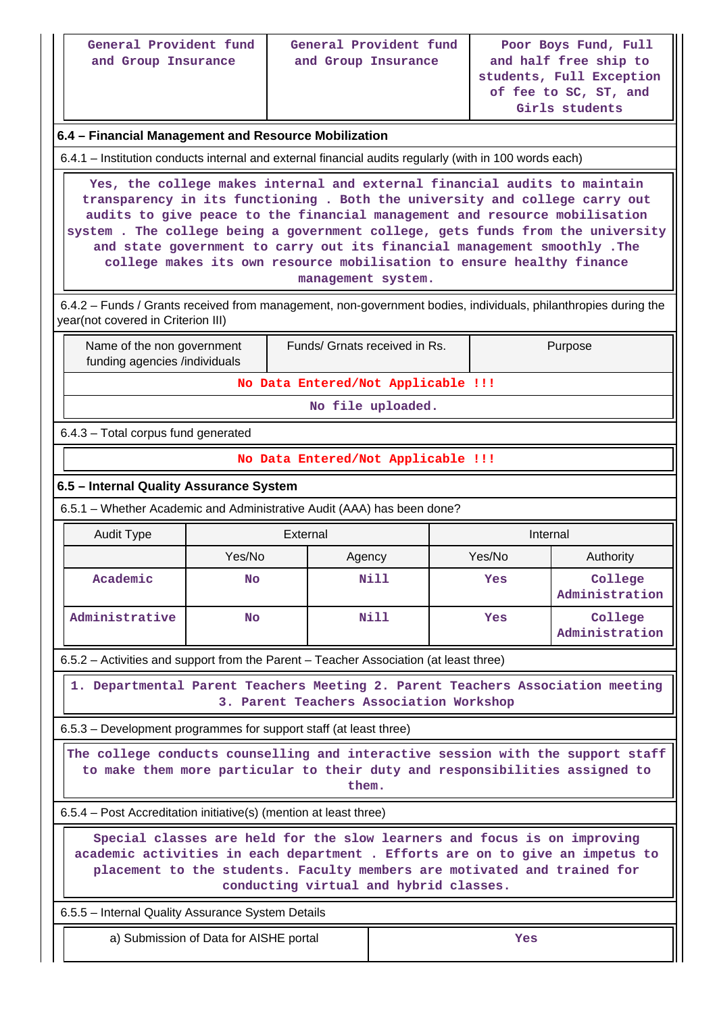| General Provident fund<br>and Group Insurance                                                                                                                                                                                                                                                                                                                                                                                                                                                       |                                        | and Group Insurance           | General Provident fund                  | Poor Boys Fund, Full<br>and half free ship to<br>students, Full Exception<br>of fee to SC, ST, and<br>Girls students |                                                                                |  |  |
|-----------------------------------------------------------------------------------------------------------------------------------------------------------------------------------------------------------------------------------------------------------------------------------------------------------------------------------------------------------------------------------------------------------------------------------------------------------------------------------------------------|----------------------------------------|-------------------------------|-----------------------------------------|----------------------------------------------------------------------------------------------------------------------|--------------------------------------------------------------------------------|--|--|
| 6.4 - Financial Management and Resource Mobilization                                                                                                                                                                                                                                                                                                                                                                                                                                                |                                        |                               |                                         |                                                                                                                      |                                                                                |  |  |
| 6.4.1 – Institution conducts internal and external financial audits regularly (with in 100 words each)                                                                                                                                                                                                                                                                                                                                                                                              |                                        |                               |                                         |                                                                                                                      |                                                                                |  |  |
| Yes, the college makes internal and external financial audits to maintain<br>transparency in its functioning . Both the university and college carry out<br>audits to give peace to the financial management and resource mobilisation<br>system. The college being a government college, gets funds from the university<br>and state government to carry out its financial management smoothly. The<br>college makes its own resource mobilisation to ensure healthy finance<br>management system. |                                        |                               |                                         |                                                                                                                      |                                                                                |  |  |
| 6.4.2 – Funds / Grants received from management, non-government bodies, individuals, philanthropies during the<br>year(not covered in Criterion III)                                                                                                                                                                                                                                                                                                                                                |                                        |                               |                                         |                                                                                                                      |                                                                                |  |  |
| Name of the non government<br>funding agencies /individuals                                                                                                                                                                                                                                                                                                                                                                                                                                         |                                        | Funds/ Grnats received in Rs. |                                         |                                                                                                                      | Purpose                                                                        |  |  |
|                                                                                                                                                                                                                                                                                                                                                                                                                                                                                                     |                                        |                               | No Data Entered/Not Applicable !!!      |                                                                                                                      |                                                                                |  |  |
|                                                                                                                                                                                                                                                                                                                                                                                                                                                                                                     |                                        |                               | No file uploaded.                       |                                                                                                                      |                                                                                |  |  |
| 6.4.3 - Total corpus fund generated                                                                                                                                                                                                                                                                                                                                                                                                                                                                 |                                        |                               |                                         |                                                                                                                      |                                                                                |  |  |
|                                                                                                                                                                                                                                                                                                                                                                                                                                                                                                     |                                        |                               | No Data Entered/Not Applicable !!!      |                                                                                                                      |                                                                                |  |  |
| 6.5 - Internal Quality Assurance System                                                                                                                                                                                                                                                                                                                                                                                                                                                             |                                        |                               |                                         |                                                                                                                      |                                                                                |  |  |
| 6.5.1 – Whether Academic and Administrative Audit (AAA) has been done?                                                                                                                                                                                                                                                                                                                                                                                                                              |                                        |                               |                                         |                                                                                                                      |                                                                                |  |  |
| Audit Type                                                                                                                                                                                                                                                                                                                                                                                                                                                                                          |                                        | External                      |                                         | Internal                                                                                                             |                                                                                |  |  |
|                                                                                                                                                                                                                                                                                                                                                                                                                                                                                                     | Yes/No                                 | Agency                        |                                         | Yes/No                                                                                                               | Authority                                                                      |  |  |
| Academic                                                                                                                                                                                                                                                                                                                                                                                                                                                                                            | <b>No</b>                              |                               | Nill                                    | Yes                                                                                                                  | College<br>Administration                                                      |  |  |
| Administrative                                                                                                                                                                                                                                                                                                                                                                                                                                                                                      | <b>No</b>                              |                               | Nill                                    | Yes                                                                                                                  | College<br>Administration                                                      |  |  |
| 6.5.2 – Activities and support from the Parent – Teacher Association (at least three)                                                                                                                                                                                                                                                                                                                                                                                                               |                                        |                               |                                         |                                                                                                                      |                                                                                |  |  |
|                                                                                                                                                                                                                                                                                                                                                                                                                                                                                                     |                                        |                               | 3. Parent Teachers Association Workshop |                                                                                                                      | 1. Departmental Parent Teachers Meeting 2. Parent Teachers Association meeting |  |  |
| 6.5.3 – Development programmes for support staff (at least three)                                                                                                                                                                                                                                                                                                                                                                                                                                   |                                        |                               |                                         |                                                                                                                      |                                                                                |  |  |
| The college conducts counselling and interactive session with the support staff<br>to make them more particular to their duty and responsibilities assigned to<br>them.                                                                                                                                                                                                                                                                                                                             |                                        |                               |                                         |                                                                                                                      |                                                                                |  |  |
| 6.5.4 - Post Accreditation initiative(s) (mention at least three)                                                                                                                                                                                                                                                                                                                                                                                                                                   |                                        |                               |                                         |                                                                                                                      |                                                                                |  |  |
| Special classes are held for the slow learners and focus is on improving<br>academic activities in each department . Efforts are on to give an impetus to<br>placement to the students. Faculty members are motivated and trained for<br>conducting virtual and hybrid classes.                                                                                                                                                                                                                     |                                        |                               |                                         |                                                                                                                      |                                                                                |  |  |
| 6.5.5 - Internal Quality Assurance System Details                                                                                                                                                                                                                                                                                                                                                                                                                                                   |                                        |                               |                                         |                                                                                                                      |                                                                                |  |  |
|                                                                                                                                                                                                                                                                                                                                                                                                                                                                                                     | a) Submission of Data for AISHE portal |                               |                                         | Yes                                                                                                                  |                                                                                |  |  |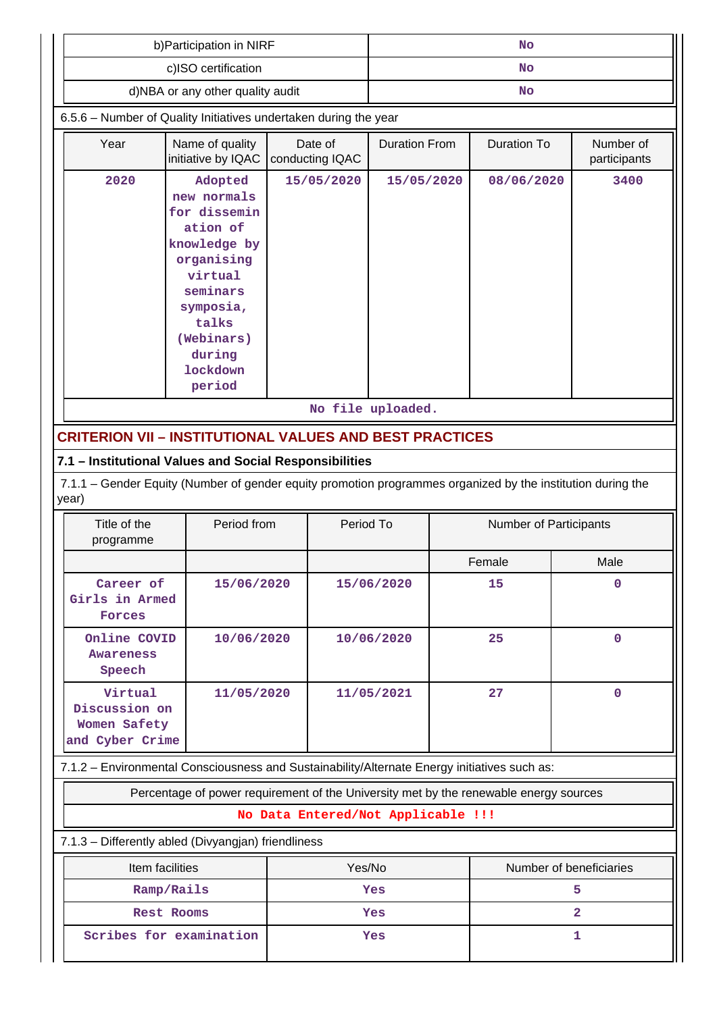|                                                             | b) Participation in NIRF                                                                                                                                                 |                                    | <b>No</b>          |                           |            |                         |  |
|-------------------------------------------------------------|--------------------------------------------------------------------------------------------------------------------------------------------------------------------------|------------------------------------|--------------------|---------------------------|------------|-------------------------|--|
|                                                             | c)ISO certification                                                                                                                                                      |                                    | <b>No</b>          |                           |            |                         |  |
|                                                             | d)NBA or any other quality audit                                                                                                                                         |                                    | <b>No</b>          |                           |            |                         |  |
|                                                             | 6.5.6 - Number of Quality Initiatives undertaken during the year                                                                                                         |                                    |                    |                           |            |                         |  |
| Year                                                        | <b>Duration From</b>                                                                                                                                                     |                                    | <b>Duration To</b> | Number of<br>participants |            |                         |  |
| 2020                                                        | Adopted<br>new normals<br>for dissemin<br>ation of<br>knowledge by<br>organising<br>virtual<br>seminars<br>symposia,<br>talks<br>(Webinars)<br>during<br><b>lockdown</b> | 15/05/2020                         | 15/05/2020         |                           | 08/06/2020 | 3400                    |  |
|                                                             | period                                                                                                                                                                   |                                    |                    |                           |            |                         |  |
|                                                             |                                                                                                                                                                          |                                    | No file uploaded.  |                           |            |                         |  |
|                                                             | <b>CRITERION VII - INSTITUTIONAL VALUES AND BEST PRACTICES</b>                                                                                                           |                                    |                    |                           |            |                         |  |
|                                                             | 7.1 - Institutional Values and Social Responsibilities                                                                                                                   |                                    |                    |                           |            |                         |  |
| year)                                                       | 7.1.1 – Gender Equity (Number of gender equity promotion programmes organized by the institution during the                                                              |                                    |                    |                           |            |                         |  |
| Title of the<br>programme                                   | Period from                                                                                                                                                              | Period To                          |                    | Number of Participants    |            |                         |  |
|                                                             |                                                                                                                                                                          |                                    |                    |                           | Female     | Male                    |  |
| Career of<br>Girls in Armed<br>Forces                       | 15/06/2020                                                                                                                                                               |                                    | 15/06/2020         |                           | 15         | 0                       |  |
| Online COVID<br>Awareness<br>Speech                         | 10/06/2020                                                                                                                                                               |                                    | 10/06/2020         |                           | 25         | $\mathbf 0$             |  |
| Virtual<br>Discussion on<br>Women Safety<br>and Cyber Crime | 11/05/2020                                                                                                                                                               |                                    | 27<br>11/05/2021   |                           |            | $\mathbf 0$             |  |
|                                                             | 7.1.2 - Environmental Consciousness and Sustainability/Alternate Energy initiatives such as:                                                                             |                                    |                    |                           |            |                         |  |
|                                                             | Percentage of power requirement of the University met by the renewable energy sources                                                                                    |                                    |                    |                           |            |                         |  |
|                                                             |                                                                                                                                                                          | No Data Entered/Not Applicable !!! |                    |                           |            |                         |  |
|                                                             | 7.1.3 - Differently abled (Divyangjan) friendliness                                                                                                                      |                                    |                    |                           |            |                         |  |
|                                                             | Item facilities                                                                                                                                                          | Yes/No                             |                    |                           |            | Number of beneficiaries |  |
|                                                             | Ramp/Rails                                                                                                                                                               |                                    | Yes                |                           |            | 5.                      |  |
|                                                             | <b>Rest Rooms</b>                                                                                                                                                        |                                    | Yes                |                           |            | $\overline{2}$          |  |
|                                                             | Scribes for examination                                                                                                                                                  |                                    | Yes                |                           |            | 1                       |  |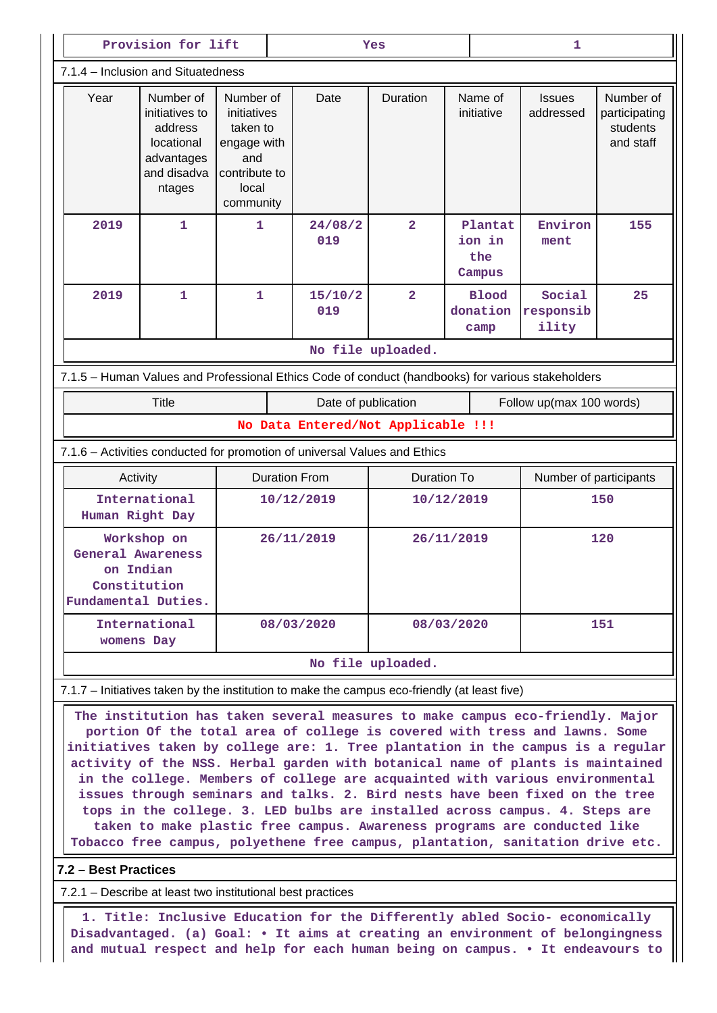|                                                                                                                                                                                                                                                                                                                                                                                                                                                                                                                                                                                                                                                                                                                                               | Provision for lift                                                                                                                                            |                                                                                                   |            | Yes                                                                                             |                   |     | 1                                  |                              |                                                     |  |
|-----------------------------------------------------------------------------------------------------------------------------------------------------------------------------------------------------------------------------------------------------------------------------------------------------------------------------------------------------------------------------------------------------------------------------------------------------------------------------------------------------------------------------------------------------------------------------------------------------------------------------------------------------------------------------------------------------------------------------------------------|---------------------------------------------------------------------------------------------------------------------------------------------------------------|---------------------------------------------------------------------------------------------------|------------|-------------------------------------------------------------------------------------------------|-------------------|-----|------------------------------------|------------------------------|-----------------------------------------------------|--|
|                                                                                                                                                                                                                                                                                                                                                                                                                                                                                                                                                                                                                                                                                                                                               | 7.1.4 – Inclusion and Situatedness                                                                                                                            |                                                                                                   |            |                                                                                                 |                   |     |                                    |                              |                                                     |  |
| Year                                                                                                                                                                                                                                                                                                                                                                                                                                                                                                                                                                                                                                                                                                                                          | Number of<br>initiatives to<br>address<br>locational<br>advantages<br>and disadva<br>ntages                                                                   | Number of<br>initiatives<br>taken to<br>engage with<br>and<br>contribute to<br>local<br>community |            | Date                                                                                            | Duration          |     | Name of<br>initiative              | <b>Issues</b><br>addressed   | Number of<br>participating<br>students<br>and staff |  |
| 2019                                                                                                                                                                                                                                                                                                                                                                                                                                                                                                                                                                                                                                                                                                                                          | 1                                                                                                                                                             | $\mathbf{1}$                                                                                      |            | 24/08/2<br>019                                                                                  | $\overline{2}$    |     | Plantat<br>ion in<br>the<br>Campus | Environ<br>ment              | 155                                                 |  |
| 2019                                                                                                                                                                                                                                                                                                                                                                                                                                                                                                                                                                                                                                                                                                                                          | $\mathbf{1}$                                                                                                                                                  | $\mathbf{1}$                                                                                      |            | 15/10/2<br>019                                                                                  | $\overline{2}$    |     | <b>Blood</b><br>donation<br>camp   | Social<br>responsib<br>ility | 25                                                  |  |
|                                                                                                                                                                                                                                                                                                                                                                                                                                                                                                                                                                                                                                                                                                                                               |                                                                                                                                                               |                                                                                                   |            |                                                                                                 | No file uploaded. |     |                                    |                              |                                                     |  |
|                                                                                                                                                                                                                                                                                                                                                                                                                                                                                                                                                                                                                                                                                                                                               | 7.1.5 - Human Values and Professional Ethics Code of conduct (handbooks) for various stakeholders                                                             |                                                                                                   |            |                                                                                                 |                   |     |                                    |                              |                                                     |  |
|                                                                                                                                                                                                                                                                                                                                                                                                                                                                                                                                                                                                                                                                                                                                               | <b>Title</b>                                                                                                                                                  |                                                                                                   |            | Date of publication                                                                             |                   |     |                                    |                              | Follow up(max 100 words)                            |  |
|                                                                                                                                                                                                                                                                                                                                                                                                                                                                                                                                                                                                                                                                                                                                               |                                                                                                                                                               |                                                                                                   |            | No Data Entered/Not Applicable !!!                                                              |                   |     |                                    |                              |                                                     |  |
|                                                                                                                                                                                                                                                                                                                                                                                                                                                                                                                                                                                                                                                                                                                                               | Activity                                                                                                                                                      |                                                                                                   |            | 7.1.6 - Activities conducted for promotion of universal Values and Ethics<br><b>Duration To</b> |                   |     | Number of participants             |                              |                                                     |  |
|                                                                                                                                                                                                                                                                                                                                                                                                                                                                                                                                                                                                                                                                                                                                               | International                                                                                                                                                 | <b>Duration From</b><br>10/12/2019                                                                |            | 10/12/2019                                                                                      |                   | 150 |                                    |                              |                                                     |  |
|                                                                                                                                                                                                                                                                                                                                                                                                                                                                                                                                                                                                                                                                                                                                               | Human Right Day                                                                                                                                               |                                                                                                   |            |                                                                                                 |                   |     |                                    |                              |                                                     |  |
|                                                                                                                                                                                                                                                                                                                                                                                                                                                                                                                                                                                                                                                                                                                                               | Workshop on<br><b>General Awareness</b><br>on Indian<br>Constitution<br>Fundamental Duties.                                                                   |                                                                                                   | 26/11/2019 |                                                                                                 | 26/11/2019        |     | 120                                |                              |                                                     |  |
|                                                                                                                                                                                                                                                                                                                                                                                                                                                                                                                                                                                                                                                                                                                                               | International<br>womens Day                                                                                                                                   |                                                                                                   |            | 08/03/2020<br>08/03/2020                                                                        |                   |     |                                    | 151                          |                                                     |  |
|                                                                                                                                                                                                                                                                                                                                                                                                                                                                                                                                                                                                                                                                                                                                               |                                                                                                                                                               |                                                                                                   |            |                                                                                                 | No file uploaded. |     |                                    |                              |                                                     |  |
|                                                                                                                                                                                                                                                                                                                                                                                                                                                                                                                                                                                                                                                                                                                                               | 7.1.7 – Initiatives taken by the institution to make the campus eco-friendly (at least five)                                                                  |                                                                                                   |            |                                                                                                 |                   |     |                                    |                              |                                                     |  |
| The institution has taken several measures to make campus eco-friendly. Major<br>portion Of the total area of college is covered with tress and lawns. Some<br>initiatives taken by college are: 1. Tree plantation in the campus is a regular<br>activity of the NSS. Herbal garden with botanical name of plants is maintained<br>in the college. Members of college are acquainted with various environmental<br>issues through seminars and talks. 2. Bird nests have been fixed on the tree<br>tops in the college. 3. LED bulbs are installed across campus. 4. Steps are<br>taken to make plastic free campus. Awareness programs are conducted like<br>Tobacco free campus, polyethene free campus, plantation, sanitation drive etc. |                                                                                                                                                               |                                                                                                   |            |                                                                                                 |                   |     |                                    |                              |                                                     |  |
| 7.2 - Best Practices                                                                                                                                                                                                                                                                                                                                                                                                                                                                                                                                                                                                                                                                                                                          |                                                                                                                                                               |                                                                                                   |            |                                                                                                 |                   |     |                                    |                              |                                                     |  |
|                                                                                                                                                                                                                                                                                                                                                                                                                                                                                                                                                                                                                                                                                                                                               | 7.2.1 – Describe at least two institutional best practices                                                                                                    |                                                                                                   |            |                                                                                                 |                   |     |                                    |                              |                                                     |  |
|                                                                                                                                                                                                                                                                                                                                                                                                                                                                                                                                                                                                                                                                                                                                               | 1. Title: Inclusive Education for the Differently abled Socio- economically<br>Disadvantaged. (a) Goal: • It aims at creating an environment of belongingness |                                                                                                   |            |                                                                                                 |                   |     |                                    |                              |                                                     |  |

**and mutual respect and help for each human being on campus. • It endeavours to**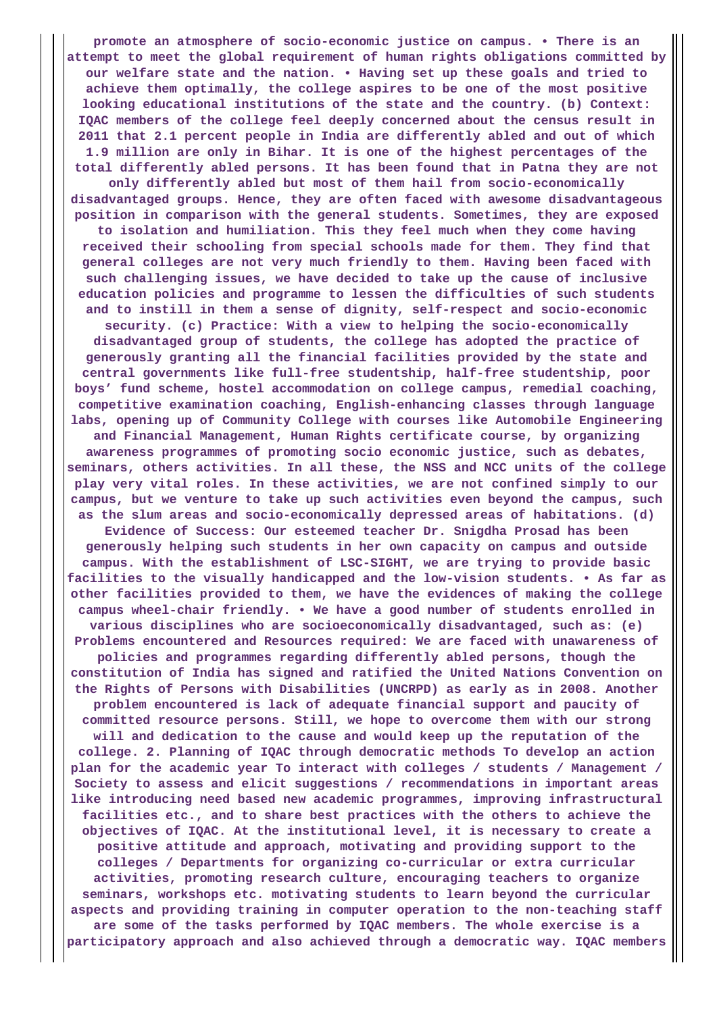**promote an atmosphere of socio-economic justice on campus. • There is an attempt to meet the global requirement of human rights obligations committed by our welfare state and the nation. • Having set up these goals and tried to achieve them optimally, the college aspires to be one of the most positive looking educational institutions of the state and the country. (b) Context: IQAC members of the college feel deeply concerned about the census result in 2011 that 2.1 percent people in India are differently abled and out of which 1.9 million are only in Bihar. It is one of the highest percentages of the total differently abled persons. It has been found that in Patna they are not only differently abled but most of them hail from socio-economically disadvantaged groups. Hence, they are often faced with awesome disadvantageous position in comparison with the general students. Sometimes, they are exposed to isolation and humiliation. This they feel much when they come having received their schooling from special schools made for them. They find that general colleges are not very much friendly to them. Having been faced with such challenging issues, we have decided to take up the cause of inclusive education policies and programme to lessen the difficulties of such students and to instill in them a sense of dignity, self-respect and socio-economic security. (c) Practice: With a view to helping the socio-economically disadvantaged group of students, the college has adopted the practice of generously granting all the financial facilities provided by the state and central governments like full-free studentship, half-free studentship, poor boys' fund scheme, hostel accommodation on college campus, remedial coaching, competitive examination coaching, English-enhancing classes through language labs, opening up of Community College with courses like Automobile Engineering and Financial Management, Human Rights certificate course, by organizing awareness programmes of promoting socio economic justice, such as debates, seminars, others activities. In all these, the NSS and NCC units of the college play very vital roles. In these activities, we are not confined simply to our campus, but we venture to take up such activities even beyond the campus, such as the slum areas and socio-economically depressed areas of habitations. (d) Evidence of Success: Our esteemed teacher Dr. Snigdha Prosad has been generously helping such students in her own capacity on campus and outside campus. With the establishment of LSC-SIGHT, we are trying to provide basic facilities to the visually handicapped and the low-vision students. • As far as other facilities provided to them, we have the evidences of making the college campus wheel-chair friendly. • We have a good number of students enrolled in various disciplines who are socioeconomically disadvantaged, such as: (e) Problems encountered and Resources required: We are faced with unawareness of policies and programmes regarding differently abled persons, though the constitution of India has signed and ratified the United Nations Convention on the Rights of Persons with Disabilities (UNCRPD) as early as in 2008. Another problem encountered is lack of adequate financial support and paucity of committed resource persons. Still, we hope to overcome them with our strong will and dedication to the cause and would keep up the reputation of the college. 2. Planning of IQAC through democratic methods To develop an action plan for the academic year To interact with colleges / students / Management / Society to assess and elicit suggestions / recommendations in important areas like introducing need based new academic programmes, improving infrastructural facilities etc., and to share best practices with the others to achieve the objectives of IQAC. At the institutional level, it is necessary to create a positive attitude and approach, motivating and providing support to the colleges / Departments for organizing co-curricular or extra curricular activities, promoting research culture, encouraging teachers to organize seminars, workshops etc. motivating students to learn beyond the curricular**

**aspects and providing training in computer operation to the non-teaching staff are some of the tasks performed by IQAC members. The whole exercise is a participatory approach and also achieved through a democratic way. IQAC members**